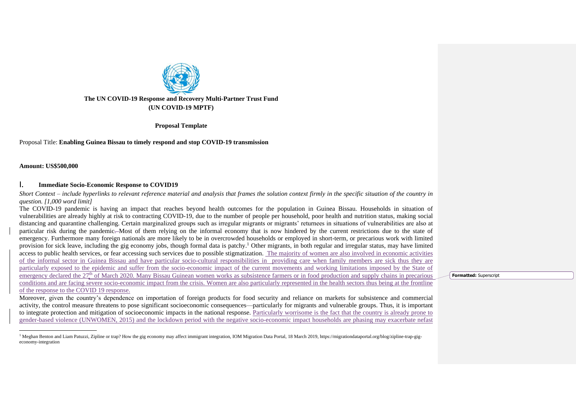

**Proposal Template**

Proposal Title: **Enabling Guinea Bissau to timely respond and stop COVID-19 transmission**

**Amount: US\$500,000**

### I. **Immediate Socio-Economic Response to COVID19**

*Short Context – include hyperlinks to relevant reference material and analysis that frames the solution context firmly in the specific situation of the country in question. [1,000 word limit]*

The COVID-19 pandemic is having an impact that reaches beyond health outcomes for the population in Guinea Bissau. Households in situation of vulnerabilities are already highly at risk to contracting COVID-19, due to the number of people per household, poor health and nutrition status, making social distancing and quarantine challenging. Certain marginalized groups such as irregular migrants or migrants' returnees in situations of vulnerabilities are also at particular risk during the pandemic—Most of them relying on the informal economy that is now hindered by the current restrictions due to the state of emergency. Furthermore many foreign nationals are more likely to be in overcrowded households or employed in short-term, or precarious work with limited provision for sick leave, including the gig economy jobs, though formal data is patchy.<sup>1</sup> Other migrants, in both regular and irregular status, may have limited access to public health services, or fear accessing such services due to possible stigmatization. The majority of women are also involved in economic activities of the informal sector in Guinea Bissau and have particular socio-cultural responsibilities in providing care when family members are sick thus they are particularly exposed to the epidemic and suffer from the socio-economic impact of the current movements and working limitations imposed by the State of emergency declared the 27<sup>th</sup> of March 2020. Many Bissau Guinean women works as subsistence farmers or in food production and supply chains in precarious conditions and are facing severe socio-economic impact from the crisis. Women are also particularly represented in the health sectors thus being at the frontline of the response to the COVID 19 response.

Moreover, given the country's dependence on importation of foreign products for food security and reliance on markets for subsistence and commercial activity, the control measure threatens to pose significant socioeconomic consequences—particularly for migrants and vulnerable groups. Thus, it is important to integrate protection and mitigation of socioeconomic impacts in the national response. Particularly worrisome is the fact that the country is already prone to gender-based violence (UNWOMEN, 2015) and the lockdown period with the negative socio-economic impact households are phasing may exacerbate nefast

<sup>1</sup> Meghan Benton and Liam Patuzzi, Zipline or trap? How the gig economy may affect immigrant integration, IOM Migration Data Portal, 18 March 2019, https://migrationdataportal.org/blog/zipline-trap-gigeconomy-integration

**Formatted:** Superscript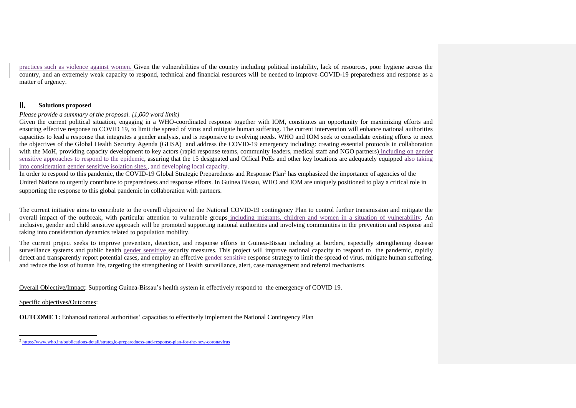practices such as violence against women. Given the vulnerabilities of the country including political instability, lack of resources, poor hygiene across the country, and an extremely weak capacity to respond, technical and financial resources will be needed to improve COVID-19 preparedness and response as a matter of urgency.

### II. **Solutions proposed**

### *Please provide a summary of the proposal. [1,000 word limit]*

Given the current political situation, engaging in a WHO-coordinated response together with IOM, constitutes an opportunity for maximizing efforts and ensuring effective response to COVID 19, to limit the spread of virus and mitigate human suffering. The current intervention will enhance national authorities capacities to lead a response that integrates a gender analysis, and is responsive to evolving needs. WHO and IOM seek to consolidate existing efforts to meet the objectives of the Global Health Security Agenda (GHSA) and address the COVID-19 emergency including: creating essential protocols in collaboration with the MoH, providing capacity development to key actors (rapid response teams, community leaders, medical staff and NGO partners) including on gender sensitive approaches to respond to the epidemic, assuring that the 15 designated and Offical PoEs and other key locations are adequately equipped also taking into consideration gender sensitive isolation sites., and developing local capacity.

In order to respond to this pandemic, the COVID-19 Global Strategic Preparedness and Response Plan<sup>2</sup> has emphasized the importance of agencies of the United Nations to urgently contribute to preparedness and response efforts. In Guinea Bissau, WHO and IOM are uniquely positioned to play a critical role in supporting the response to this global pandemic in collaboration with partners.

The current initiative aims to contribute to the overall objective of the National COVID-19 contingency Plan to control further transmission and mitigate the overall impact of the outbreak, with particular attention to vulnerable groups including migrants, children and women in a situation of vulnerability. An inclusive, gender and child sensitive approach will be promoted supporting national authorities and involving communities in the prevention and response and taking into consideration dynamics related to population mobility.

The current project seeks to improve prevention, detection, and response efforts in Guinea-Bissau including at borders, especially strengthening disease surveillance systems and public health gender sensitive security measures. This project will improve national capacity to respond to the pandemic, rapidly detect and transparently report potential cases, and employ an effective gender sensitive response strategy to limit the spread of virus, mitigate human suffering, and reduce the loss of human life, targeting the strengthening of Health surveillance, alert, case management and referral mechanisms.

Overall Objective/Impact: Supporting Guinea-Bissau's health system in effectively respond to the emergency of COVID 19.

Specific objectives/Outcomes:

**OUTCOME 1:** Enhanced national authorities' capacities to effectively implement the National Contingency Plan

<sup>&</sup>lt;sup>2</sup> <https://www.who.int/publications-detail/strategic-preparedness-and-response-plan-for-the-new-coronavirus>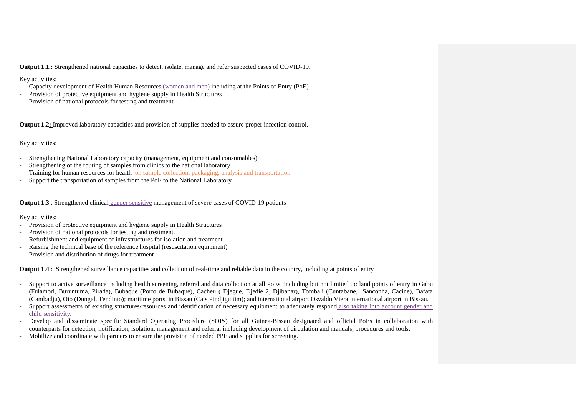**Output 1.1.:** Strengthened national capacities to detect, isolate, manage and refer suspected cases of COVID-19.

### Key activities:

- Capacity development of Health Human Resources (women and men) including at the Points of Entry (PoE)
- Provision of protective equipment and hygiene supply in Health Structures
- Provision of national protocols for testing and treatment.

**Output 1.2:** Improved laboratory capacities and provision of supplies needed to assure proper infection control.

### Key activities:

- Strengthening National Laboratory capacity (management, equipment and consumables)
- Strengthening of the routing of samples from clinics to the national laboratory
- Training for human resources for health on sample collection, packaging, analysis and transportation
- Support the transportation of samples from the PoE to the National Laboratory

**Output 1.3** : Strengthened clinical gender sensitive management of severe cases of COVID-19 patients

### Key activities:

- Provision of protective equipment and hygiene supply in Health Structures
- Provision of national protocols for testing and treatment.
- Refurbishment and equipment of infrastructures for isolation and treatment
- Raising the technical base of the reference hospital (resuscitation equipment)
- Provision and distribution of drugs for treatment

**Output 1.4** : Strengthened surveillance capacities and collection of real-time and reliable data in the country, including at points of entry

- Support to active surveillance including health screening, referral and data collection at all PoEs, including but not limited to: land points of entry in Gabu (Fulamori, Buruntuma, Pirada), Bubaque (Porto de Bubaque), Cacheu ( Djegue, Djedie 2, Djibanar), Tombali (Cuntabane, Sanconha, Cacine), Bafata (Cambadju), Oio (Dungal, Tendinto); maritime ports in Bissau (Cais Pindjiguitim); and international airport Osvaldo Viera International airport in Bissau.
- Support assessments of existing structures/resources and identification of necessary equipment to adequately respond also taking into account gender and child sensitivity.
- Develop and disseminate specific Standard Operating Procedure (SOPs) for all Guinea-Bissau designated and official PoEs in collaboration with counterparts for detection, notification, isolation, management and referral including development of circulation and manuals, procedures and tools;
- Mobilize and coordinate with partners to ensure the provision of needed PPE and supplies for screening.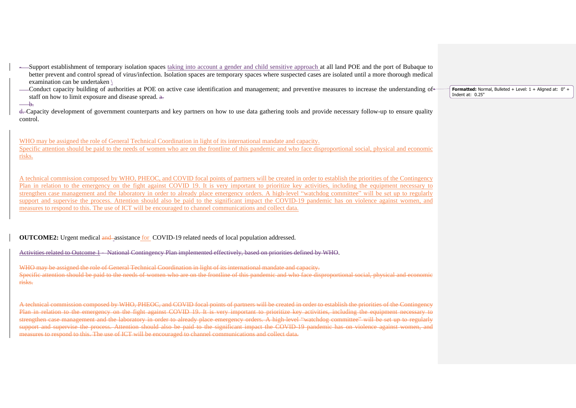- -Support establishment of temporary isolation spaces taking into account a gender and child sensitive approach at all land POE and the port of Bubaque to better prevent and control spread of virus/infection. Isolation spaces are temporary spaces where suspected cases are isolated until a more thorough medical examination can be undertaken \
- --Conduct capacity building of authorities at POE on active case identification and management; and preventive measures to increase the understanding of staff on how to limit exposure and disease spread.  $a$ .

b.

d. Capacity development of government counterparts and key partners on how to use data gathering tools and provide necessary follow-up to ensure quality control.

WHO may be assigned the role of General Technical Coordination in light of its international mandate and capacity.

Specific attention should be paid to the needs of women who are on the frontline of this pandemic and who face disproportional social, physical and economic risks.

A technical commission composed by WHO, PHEOC, and COVID focal points of partners will be created in order to establish the priorities of the Contingency Plan in relation to the emergency on the fight against COVID 19. It is very important to prioritize key activities, including the equipment necessary to strengthen case management and the laboratory in order to already place emergency orders. A high-level "watchdog committee" will be set up to regularly support and supervise the process. Attention should also be paid to the significant impact the COVID-19 pandemic has on violence against women, and measures to respond to this. The use of ICT will be encouraged to channel communications and collect data.

**OUTCOME2:** Urgent medical and assistance for COVID-19 related needs of local population addressed.

Activities related to Outcome 1 - National Contingency Plan implemented effectively, based on priorities defined by WHO.

WHO may be assigned the role of General Technical Coordination in light of its international mandate and capacity. Specific attention should be paid to the needs of women who are on the frontline of this pandemic and who face disproportional social, physical and economic risks.

A technical commission composed by WHO, PHEOC, and COVID focal points of partners will be created in order to establish the priorities of the Contingency Plan in relation to the emergency on the fight against COVID 19. It is very important to prioritize key activities, including the equipment ne strengthen case management and the laboratory in order to already place emergency orders. A high-level "watchdog committee" will be set up to regularly support and supervise the process. Attention should also be paid to the significant impact the COVID-19 pandemic has on violence against women. measures to respond to this. The use of ICT will be encouraged to channel communications and collect data.

**Formatted:** Normal, Bulleted + Level: 1 + Aligned at: 0" + Indent at: 0.25"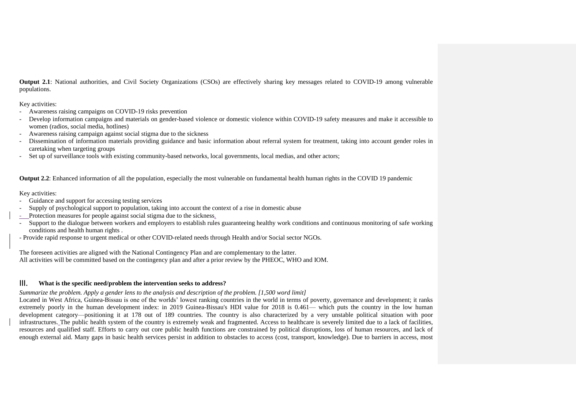**Output 2.1**: National authorities, and Civil Society Organizations (CSOs) are effectively sharing key messages related to COVID-19 among vulnerable populations.

Key activities:

- Awareness raising campaigns on COVID-19 risks prevention
- Develop information campaigns and materials on gender-based violence or domestic violence within COVID-19 safety measures and make it accessible to women (radios, social media, hotlines)
- Awareness raising campaign against social stigma due to the sickness
- Dissemination of information materials providing guidance and basic information about referral system for treatment, taking into account gender roles in caretaking when targeting groups
- Set up of surveillance tools with existing community-based networks, local governments, local medias, and other actors;

**Output 2.2**: Enhanced information of all the population, especially the most vulnerable on fundamental health human rights in the COVID 19 pandemic

### Key activities:

- Guidance and support for accessing testing services
- Supply of psychological support to population, taking into account the context of a rise in domestic abuse
- Protection measures for people against social stigma due to the sickness.
- Support to the dialogue between workers and employers to establish rules guaranteeing healthy work conditions and continuous monitoring of safe working conditions and health human rights .
- Provide rapid response to urgent medical or other COVID-related needs through Health and/or Social sector NGOs.

The foreseen activities are aligned with the National Contingency Plan and are complementary to the latter. All activities will be committed based on the contingency plan and after a prior review by the PHEOC, WHO and IOM.

# III. **What is the specific need/problem the intervention seeks to address?**

### *Summarize the problem. Apply [a gender lens](https://www.unwomen.org/en/news/stories/2020/3/news-checklist-for-covid-19-response-by-ded-regner) to the analysis and description of the problem. [1,500 word limit]*

Located in West Africa, Guinea-Bissau is one of the worlds' lowest ranking countries in the world in terms of poverty, governance and development; it ranks extremely poorly in the human development index: in 2019 Guinea-Bissau's HDI value for 2018 is 0.461— which puts the country in the low human development category—positioning it at 178 out of 189 countries. The country is also characterized by a very unstable political situation with poor infrastructures. The public health system of the country is extremely weak and fragmented. Access to healthcare is severely limited due to a lack of facilities, resources and qualified staff. Efforts to carry out core public health functions are constrained by political disruptions, loss of human resources, and lack of enough external aid. Many gaps in basic health services persist in addition to obstacles to access (cost, transport, knowledge). Due to barriers in access, most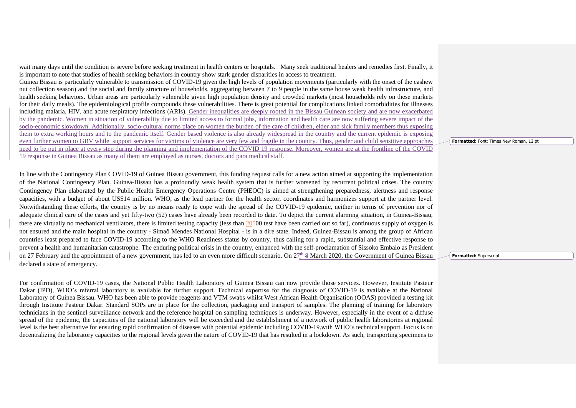wait many days until the condition is severe before seeking treatment in health centers or hospitals. Many seek traditional healers and remedies first. Finally, it is important to note that studies of health seeking behaviors in country show stark gender disparities in access to treatment. Guinea Bissau is particularly vulnerable to transmission of COVID-19 given the high levels of population movements (particularly with the onset of the cashew nut collection season) and the social and family structure of households, aggregating between 7 to 9 people in the same house weak health infrastructure, and health seeking behaviors. Urban areas are particularly vulnerable given high population density and crowded markets (most households rely on these markets for their daily meals). The epidemiological profile compounds these vulnerabilities. There is great potential for complications linked comorbidities for illnesses including malaria, HIV, and acute respiratory infections (ARIs). Gender inequalities are deeply rooted in the Bissau Guinean society and are now exacerbated by the pandemic. Women in situation of vulnerability due to limited access to formal jobs, information and health care are now suffering severe impact of the socio-economic slowdown. Additionally, socio-cultural norms place on women the burden of the care of children, elder and sick family members thus exposing them to extra working hours and to the pandemic itself. Gender based violence is also already widespread in the country and the current epidemic is exposing even further women to GBV while support services for victims of violence are very few and fragile in the country. Thus, gender and child sensitive approaches need to be put in place at every step during the planning and implementation of the COVID 19 response. Moreover, women are at the frontline of the COVID 19 response in Guinea Bissau as many of them are employed as nurses, doctors and para medical staff.

In line with the Contingency Plan COVID-19 of Guinea Bissau government, this funding request calls for a new action aimed at supporting the implementation of the National Contingency Plan. Guinea-Bissau has a profoundly weak health system that is further worsened by recurrent political crises. The country Contingency Plan elaborated by the Public Health Emergency Operations Centre (PHEOC) is aimed at strengthening preparedness, alertness and response capacities, with a budget of about US\$14 million. WHO, as the lead partner for the health sector, coordinates and harmonizes support at the partner level. Notwithstanding these efforts, the country is by no means ready to cope with the spread of the COVID-19 epidemic, neither in terms of prevention nor of adequate clinical care of the cases and yet fifty-two (52) cases have already been recorded to date. To depict the current alarming situation, in Guinea-Bissau, there are virtually no mechanical ventilators, there is limited testing capacity (less than 20500 test have been carried out so far), continuous supply of oxygen is not ensured and the main hospital in the country - Simaõ Mendes National Hospital - is in a dire state. Indeed, Guinea-Bissau is among the group of African countries least prepared to face COVID-19 according to the WHO Readiness status by country, thus calling for a rapid, substantial and effective response to prevent a health and humanitarian catastrophe. The enduring political crisis in the country, enhanced with the self-proclamation of Sissoko Embalo as President on 27 February and the appointment of a new government, has led to an even more difficult scenario. On  $2\frac{\pi}{4}$  March 2020, the Government of Guinea Bissau declared a state of emergency.

For confirmation of COVID-19 cases, the National Public Health Laboratory of Guinea Bissau can now provide those services. However, Institute Pasteur Dakar (IPD), WHO's referral laboratory is available for further support. Technical expertise for the diagnosis of COVID-19 is available at the National Laboratory of Guinea Bissau. WHO has been able to provide reagents and VTM swabs whilst West African Health Organisation (OOAS) provided a testing kit through Institute Pasteur Dakar. Standard SOPs are in place for the collection, packaging and transport of samples. The planning of training for laboratory technicians in the sentinel surveillance network and the reference hospital on sampling techniques is underway. However, especially in the event of a diffuse spread of the epidemic, the capacities of the national laboratory will be exceeded and the establishment of a network of public health laboratories at regional level is the best alternative for ensuring rapid confirmation of diseases with potential epidemic including COVID-19,with WHO's technical support. Focus is on decentralizing the laboratory capacities to the regional levels given the nature of COVID-19 that has resulted in a lockdown. As such, transporting specimens to **Formatted:** Font: Times New Roman, 12 pt

**Formatted:** Superscript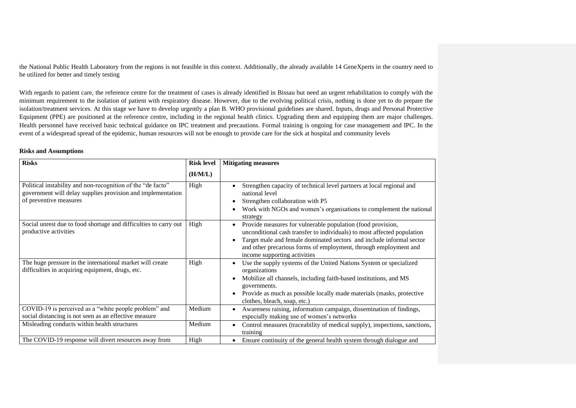the National Public Health Laboratory from the regions is not feasible in this context. Additionally, the already available 14 GeneXperts in the country need to be utilized for better and timely testing

With regards to patient care, the reference centre for the treatment of cases is already identified in Bissau but need an urgent rehabilitation to comply with the minimum requirement to the isolation of patient with respiratory disease. However, due to the evolving political crisis, nothing is done yet to do prepare the isolation/treatment services. At this stage we have to develop urgently a plan B. WHO provisional guidelines are shared. Inputs, drugs and Personal Protective Equipment (PPE) are positioned at the reference centre, including in the regional health clinics. Upgrading them and equipping them are major challenges. Health personnel have received basic technical guidance on IPC treatment and precautions. Formal training is ongoing for case management and IPC. In the event of a widespread spread of the epidemic, human resources will not be enough to provide care for the sick at hospital and community levels

### **Risks and Assumptions**

| <b>Risks</b>                                                                                                                                         | <b>Risk level</b> | <b>Mitigating measures</b>                                                                                                                                                                                                                                                                                                                   |
|------------------------------------------------------------------------------------------------------------------------------------------------------|-------------------|----------------------------------------------------------------------------------------------------------------------------------------------------------------------------------------------------------------------------------------------------------------------------------------------------------------------------------------------|
|                                                                                                                                                      | (H/M/L)           |                                                                                                                                                                                                                                                                                                                                              |
| Political instability and non-recognition of the "de facto"<br>government will delay supplies provision and implementation<br>of preventive measures | High              | Strengthen capacity of technical level partners at local regional and<br>$\bullet$<br>national level<br>Strengthen collaboration with P5<br>$\bullet$<br>Work with NGOs and women's organisations to complement the national<br>$\bullet$<br>strategy                                                                                        |
| Social unrest due to food shortage and difficulties to carry out<br>productive activities                                                            | High              | Provide measures for vulnerable population (food provision,<br>$\bullet$<br>unconditional cash transfer to individuals) to most affected population<br>Target male and female dominated sectors and include informal sector<br>$\bullet$<br>and other precarious forms of employment, through employment and<br>income supporting activities |
| The huge pressure in the international market will create<br>difficulties in acquiring equipment, drugs, etc.                                        | High              | Use the supply systems of the United Nations System or specialized<br>$\bullet$<br>organizations<br>Mobilize all channels, including faith-based institutions, and MS<br>$\bullet$<br>governments.<br>Provide as much as possible locally made materials (masks, protective<br>$\bullet$<br>clothes, bleach, soap, etc.)                     |
| COVID-19 is perceived as a "white people problem" and<br>social distancing is not seen as an effective measure                                       | Medium            | Awareness raising, information campaign, dissemination of findings,<br>٠<br>especially making use of women's networks                                                                                                                                                                                                                        |
| Misleading conducts within health structures                                                                                                         | Medium            | Control measures (traceability of medical supply), inspections, sanctions,<br>$\bullet$<br>training                                                                                                                                                                                                                                          |
| The COVID-19 response will divert resources away from                                                                                                | High              | Ensure continuity of the general health system through dialogue and<br>$\bullet$                                                                                                                                                                                                                                                             |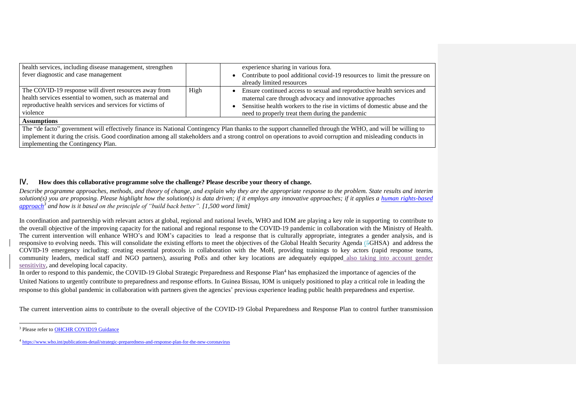| health services, including disease management, strengthen<br>fever diagnostic and case management                                                                                         |      | experience sharing in various fora.<br>• Contribute to pool additional covid-19 resources to limit the pressure on<br>already limited resources                                                                                                                    |
|-------------------------------------------------------------------------------------------------------------------------------------------------------------------------------------------|------|--------------------------------------------------------------------------------------------------------------------------------------------------------------------------------------------------------------------------------------------------------------------|
| The COVID-19 response will divert resources away from<br>health services essential to women, such as maternal and<br>reproductive health services and services for victims of<br>violence | High | Ensure continued access to sexual and reproductive health services and<br>maternal care through advocacy and innovative approaches<br>Sensitise health workers to the rise in victims of domestic abuse and the<br>need to properly treat them during the pandemic |
| <b>Assumptions</b>                                                                                                                                                                        |      |                                                                                                                                                                                                                                                                    |
|                                                                                                                                                                                           |      | The "de facto" government will effectively finance its National Contingency Plan thanks to the support channelled through the WHO, and will be willing to                                                                                                          |
|                                                                                                                                                                                           |      | implement it during the crisis. Good coordination among all stakeholders and a strong control on operations to avoid corruption and misleading conducts in                                                                                                         |
| implementing the Contingency Plan.                                                                                                                                                        |      |                                                                                                                                                                                                                                                                    |

## IV. **How does this collaborative programme solve the challenge? Please describe your theory of change.**

*Describe programme approaches, methods, and theory of change, and explain why they are the appropriate response to the problem. State results and interim solution(s)* you are proposing. Please highlight how the solution(s) is data driven; if it employs any innovative approaches; if it applies a human rights-based *[approach](https://www.ohchr.org/EN/NewsEvents/Pages/COVID19Guidance.aspx)<sup>3</sup> and how is it based on the principle of "build back better". [1,500 word limit]*

In coordination and partnership with relevant actors at global, regional and national levels, WHO and IOM are playing a key role in supporting to contribute to the overall objective of the improving capacity for the national and regional response to the COVID-19 pandemic in collaboration with the Ministry of Health. The current intervention will enhance WHO's and IOM's capacities to lead a response that is culturally appropriate, integrates a gender analysis, and is responsive to evolving needs. This will consolidate the existing efforts to meet the objectives of the Global Health Security Agenda (5GHSA) and address the COVID-19 emergency including: creating essential protocols in collaboration with the MoH, providing trainings to key actors (rapid response teams, community leaders, medical staff and NGO partners), assuring PoEs and other key locations are adequately equipped also taking into account gender sensitivity, and developing local capacity.

In order to respond to this pandemic, the COVID-19 Global Strategic Preparedness and Response Plan<sup>4</sup> has emphasized the importance of agencies of the United Nations to urgently contribute to preparedness and response efforts. In Guinea Bissau, IOM is uniquely positioned to play a critical role in leading the response to this global pandemic in collaboration with partners given the agencies' previous experience leading public health preparedness and expertise.

The current intervention aims to contribute to the overall objective of the COVID-19 Global Preparedness and Response Plan to control further transmission

<sup>&</sup>lt;sup>3</sup> Please refer to OHCHR COVID19 Guidance

<sup>&</sup>lt;sup>4</sup> <https://www.who.int/publications-detail/strategic-preparedness-and-response-plan-for-the-new-coronavirus>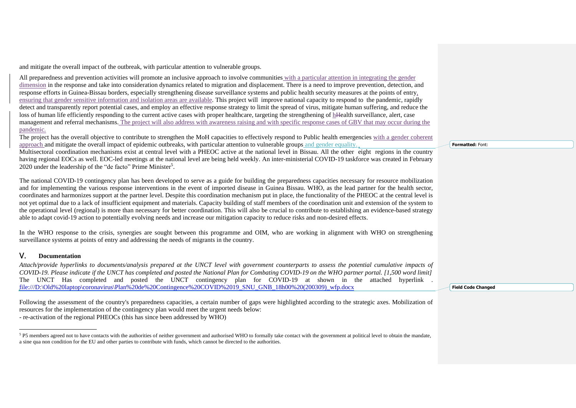and mitigate the overall impact of the outbreak, with particular attention to vulnerable groups.

All preparedness and prevention activities will promote an inclusive approach to involve communities with a particular attention in integrating the gender dimension in the response and take into consideration dynamics related to migration and displacement. There is a need to improve prevention, detection, and response efforts in Guinea-Bissau borders, especially strengthening disease surveillance systems and public health security measures at the points of entry, ensuring that gender sensitive information and isolation areas are available. This project will improve national capacity to respond to the pandemic, rapidly detect and transparently report potential cases, and employ an effective response strategy to limit the spread of virus, mitigate human suffering, and reduce the loss of human life efficiently responding to the current active cases with proper healthcare, targeting the strengthening of hHealth surveillance, alert, case management and referral mechanisms. The project will also address with awareness raising and with specific response cases of GBV that may occur during the pandemic.

The project has the overall objective to contribute to strengthen the MoH capacities to effectively respond to Public health emergencies with a gender coherent approach and mitigate the overall impact of epidemic outbreaks, with particular attention to vulnerable groups and gender equality.

Multisectoral coordination mechanisms exist at central level with a PHEOC active at the national level in Bissau. All the other eight regions in the country having regional EOCs as well. EOC-led meetings at the national level are being held weekly. An inter-ministerial COVID-19 taskforce was created in February 2020 under the leadership of the "de facto" Prime Minister<sup>5</sup>.

The national COVID-19 contingency plan has been developed to serve as a guide for building the preparedness capacities necessary for resource mobilization and for implementing the various response interventions in the event of imported disease in Guinea Bissau. WHO, as the lead partner for the health sector, coordinates and harmonizes support at the partner level. Despite this coordination mechanism put in place, the functionality of the PHEOC at the central level is not yet optimal due to a lack of insufficient equipment and materials. Capacity building of staff members of the coordination unit and extension of the system to the operational level (regional) is more than necessary for better coordination. This will also be crucial to contribute to establishing an evidence-based strategy able to adapt covid-19 action to potentially evolving needs and increase our mitigation capacity to reduce risks and non-desired effects.

In the WHO response to the crisis, synergies are sought between this programme and OIM, who are working in alignment with WHO on strengthening surveillance systems at points of entry and addressing the needs of migrants in the country.

# V. **Documentation**

*Attach/provide hyperlinks to documents/analysis prepared at the UNCT level with government counterparts to assess the potential cumulative impacts of COVID-19. Please indicate if the UNCT has completed and posted the National Plan for Combating COVID-19 on the WHO partner portal. [1,500 word limit]* The UNCT Has completed and posted the UNCT contingency plan for COVID-19 at shown in the attached hyperlink . [file:///D:\Old%20laptop\coronavirus\Plan%20de%20Contingence%20COVID%2019\\_SNU\\_GNB\\_18h00%20\(200309\)\\_wfp.docx](../../../../../../../../../../../../../AppData/AppData/Local/Microsoft/Windows/INetCache/mupandarem/Old%20laptop/coronavirus/Plan%20de%20Contingence%20COVID%2019_SNU_GNB_18h00%20(200309)_wfp.docx)

Following the assessment of the country's preparedness capacities, a certain number of gaps were highlighted according to the strategic axes. Mobilization of resources for the implementation of the contingency plan would meet the urgent needs below: - re-activation of the regional PHEOCs (this has since been addressed by WHO)

<sup>5</sup> P5 members agreed not to have contacts with the authorities of neither government and authorised WHO to formally take contact with the government at political level to obtain the mandate, a sine qua non condition for the EU and other parties to contribute with funds, which cannot be directed to the authorities.

**Formatted:** Font:

**Field Code Changed**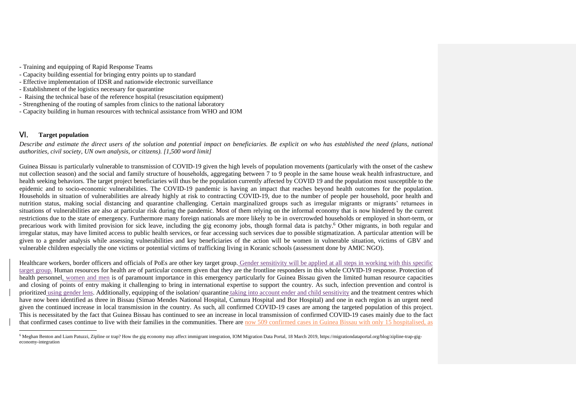- Training and equipping of Rapid Response Teams
- Capacity building essential for bringing entry points up to standard
- Effective implementation of IDSR and nationwide electronic surveillance
- Establishment of the logistics necessary for quarantine
- Raising the technical base of the reference hospital (resuscitation equipment)
- Strengthening of the routing of samples from clinics to the national laboratory
- Capacity building in human resources with technical assistance from WHO and IOM

### VI. **Target population**

*Describe and estimate the direct users of the solution and potential impact on beneficiaries. Be explicit on who has established the need (plans, national authorities, civil society, UN own analysis, or citizens). [1,500 word limit]*

Guinea Bissau is particularly vulnerable to transmission of COVID-19 given the high levels of population movements (particularly with the onset of the cashew nut collection season) and the social and family structure of households, aggregating between 7 to 9 people in the same house weak health infrastructure, and health seeking behaviors. The target project beneficiaries will thus be the population currently affected by COVID 19 and the population most susceptible to the epidemic and to socio-economic vulnerabilities. The COVID-19 pandemic is having an impact that reaches beyond health outcomes for the population. Households in situation of vulnerabilities are already highly at risk to contracting COVID-19, due to the number of people per household, poor health and nutrition status, making social distancing and quarantine challenging. Certain marginalized groups such as irregular migrants or migrants' returnees in situations of vulnerabilities are also at particular risk during the pandemic. Most of them relying on the informal economy that is now hindered by the current restrictions due to the state of emergency. Furthermore many foreign nationals are more likely to be in overcrowded households or employed in short-term, or precarious work with limited provision for sick leave, including the gig economy jobs, though formal data is patchy. <sup>6</sup> Other migrants, in both regular and irregular status, may have limited access to public health services, or fear accessing such services due to possible stigmatization. A particular attention will be given to a gender analysis while assessing vulnerabilities and key beneficiaries of the action will be women in vulnerable situation, victims of GBV and vulnerable children especially the one victims or potential victims of trafficking living in Koranic schools (assessment done by AMIC NGO).

Healthcare workers, border officers and officials of PoEs are other key target group. Gender sensitivity will be applied at all steps in working with this specific target group. Human resources for health are of particular concern given that they are the frontline responders in this whole COVID-19 response. Protection of health personnel, women and men is of paramount importance in this emergency particularly for Guinea Bissau given the limited human resource capacities and closing of points of entry making it challenging to bring in international expertise to support the country. As such, infection prevention and control is prioritized using gender lens. Additionally, equipping of the isolation/ quarantine taking into account ender and child sensitivity and the treatment centres which have now been identified as three in Bissau (Simao Mendes National Hospital, Cumura Hospital and Bor Hospital) and one in each region is an urgent need given the continued increase in local transmission in the country. As such, all confirmed COVID-19 cases are among the targeted population of this project. This is necessitated by the fact that Guinea Bissau has continued to see an increase in local transmission of confirmed COVID-19 cases mainly due to the fact that confirmed cases continue to live with their families in the communities. There are now 509 confirmed cases in Guinea Bissau with only 15 hospitalised, as

<sup>6</sup> Meghan Benton and Liam Patuzzi, Zipline or trap? How the gig economy may affect immigrant integration, IOM Migration Data Portal, 18 March 2019, https://migrationdataportal.org/blog/zipline-trap-gigeconomy-integration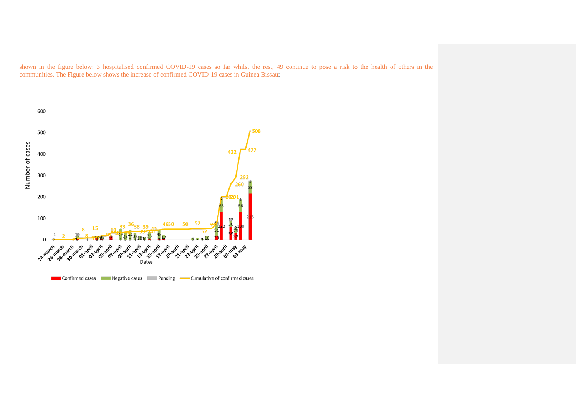shown in the figure below: 3 hospitalised confirmed COVID-19 cases so far whilst the rest, 49 continue to pose a risk to the health of others in the communities. The Figure below shows the increase of confirmed COVID-19 cases in Guinea Bissau:

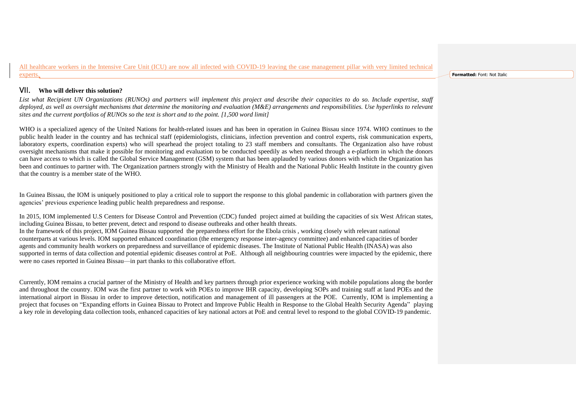All healthcare workers in the Intensive Care Unit (ICU) are now all infected with COVID-19 leaving the case management pillar with very limited technical experts.

#### **Formatted:** Font: Not Italic

### VII. **Who will deliver this solution?**

*List what Recipient UN Organizations (RUNOs) and partners will implement this project and describe their capacities to do so. Include expertise, staff deployed, as well as oversight mechanisms that determine the monitoring and evaluation (M&E) arrangements and responsibilities. Use hyperlinks to relevant sites and the current portfolios of RUNOs so the text is short and to the point. [1,500 word limit]*

WHO is a specialized agency of the United Nations for health-related issues and has been in operation in Guinea Bissau since 1974. WHO continues to the public health leader in the country and has technical staff (epidemiologists, clinicians, infection prevention and control experts, risk communication experts, laboratory experts, coordination experts) who will spearhead the project totaling to 23 staff members and consultants. The Organization also have robust oversight mechanisms that make it possible for monitoring and evaluation to be conducted speedily as when needed through a e-platform in which the donors can have access to which is called the Global Service Management (GSM) system that has been applauded by various donors with which the Organization has been and continues to partner with. The Organization partners strongly with the Ministry of Health and the National Public Health Institute in the country given that the country is a member state of the WHO.

In Guinea Bissau, the IOM is uniquely positioned to play a critical role to support the response to this global pandemic in collaboration with partners given the agencies' previous experience leading public health preparedness and response.

In 2015, IOM implemented U.S Centers for Disease Control and Prevention (CDC) funded project aimed at building the capacities of six West African states, including Guinea Bissau, to better prevent, detect and respond to disease outbreaks and other health threats. In the framework of this project, IOM Guinea Bissau supported the preparedness effort for the Ebola crisis , working closely with relevant national counterparts at various levels. IOM supported enhanced coordination (the emergency response inter-agency committee) and enhanced capacities of border agents and community health workers on preparedness and surveillance of epidemic diseases. The Institute of National Public Health (INASA) was also supported in terms of data collection and potential epidemic diseases control at PoE. Although all neighbouring countries were impacted by the epidemic, there were no cases reported in Guinea Bissau—in part thanks to this collaborative effort.

Currently, IOM remains a crucial partner of the Ministry of Health and key partners through prior experience working with mobile populations along the border and throughout the country. IOM was the first partner to work with POEs to improve IHR capacity, developing SOPs and training staff at land POEs and the international airport in Bissau in order to improve detection, notification and management of ill passengers at the POE. Currently, IOM is implementing a project that focuses on "Expanding efforts in Guinea Bissau to Protect and Improve Public Health in Response to the Global Health Security Agenda" playing a key role in developing data collection tools, enhanced capacities of key national actors at PoE and central level to respond to the global COVID-19 pandemic.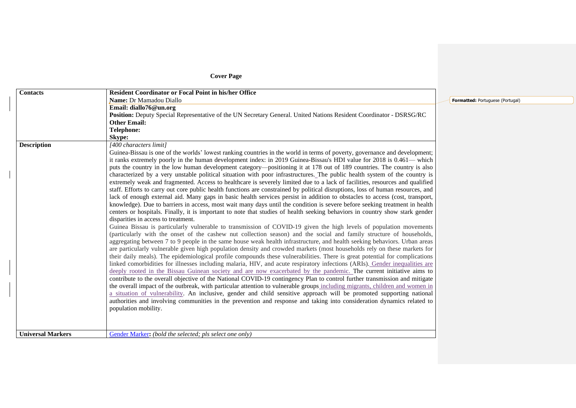# **Cover Page**

| <b>Contacts</b>          | <b>Resident Coordinator or Focal Point in his/her Office</b>                                                                    |                            |
|--------------------------|---------------------------------------------------------------------------------------------------------------------------------|----------------------------|
|                          | Name: Dr Mamadou Diallo                                                                                                         | Formatted: Portuguese (Por |
|                          | Email: diallo76@un.org                                                                                                          |                            |
|                          | Position: Deputy Special Representative of the UN Secretary General. United Nations Resident Coordinator - DSRSG/RC             |                            |
|                          | <b>Other Email:</b>                                                                                                             |                            |
|                          | <b>Telephone:</b>                                                                                                               |                            |
|                          | Skype:                                                                                                                          |                            |
| <b>Description</b>       | [400 characters limit]                                                                                                          |                            |
|                          | Guinea-Bissau is one of the worlds' lowest ranking countries in the world in terms of poverty, governance and development;      |                            |
|                          | it ranks extremely poorly in the human development index: in 2019 Guinea-Bissau's HDI value for 2018 is 0.461— which            |                            |
|                          | puts the country in the low human development category—positioning it at 178 out of 189 countries. The country is also          |                            |
|                          | characterized by a very unstable political situation with poor infrastructures. The public health system of the country is      |                            |
|                          | extremely weak and fragmented. Access to healthcare is severely limited due to a lack of facilities, resources and qualified    |                            |
|                          | staff. Efforts to carry out core public health functions are constrained by political disruptions, loss of human resources, and |                            |
|                          | lack of enough external aid. Many gaps in basic health services persist in addition to obstacles to access (cost, transport,    |                            |
|                          | knowledge). Due to barriers in access, most wait many days until the condition is severe before seeking treatment in health     |                            |
|                          | centers or hospitals. Finally, it is important to note that studies of health seeking behaviors in country show stark gender    |                            |
|                          | disparities in access to treatment.                                                                                             |                            |
|                          | Guinea Bissau is particularly vulnerable to transmission of COVID-19 given the high levels of population movements              |                            |
|                          | (particularly with the onset of the cashew nut collection season) and the social and family structure of households,            |                            |
|                          | aggregating between 7 to 9 people in the same house weak health infrastructure, and health seeking behaviors. Urban areas       |                            |
|                          | are particularly vulnerable given high population density and crowded markets (most households rely on these markets for        |                            |
|                          | their daily meals). The epidemiological profile compounds these vulnerabilities. There is great potential for complications     |                            |
|                          | linked comorbidities for illnesses including malaria, HIV, and acute respiratory infections (ARIs). Gender inequalities are     |                            |
|                          | deeply rooted in the Bissau Guinean society and are now exacerbated by the pandemic. The current initiative aims to             |                            |
|                          | contribute to the overall objective of the National COVID-19 contingency Plan to control further transmission and mitigate      |                            |
|                          | the overall impact of the outbreak, with particular attention to vulnerable groups including migrants, children and women in    |                            |
|                          | a situation of vulnerability. An inclusive, gender and child sensitive approach will be promoted supporting national            |                            |
|                          | authorities and involving communities in the prevention and response and taking into consideration dynamics related to          |                            |
|                          | population mobility.                                                                                                            |                            |
|                          |                                                                                                                                 |                            |
|                          |                                                                                                                                 |                            |
| <b>Universal Markers</b> | Gender Marker: (bold the selected; pls select one only)                                                                         |                            |
|                          |                                                                                                                                 |                            |

**Formal**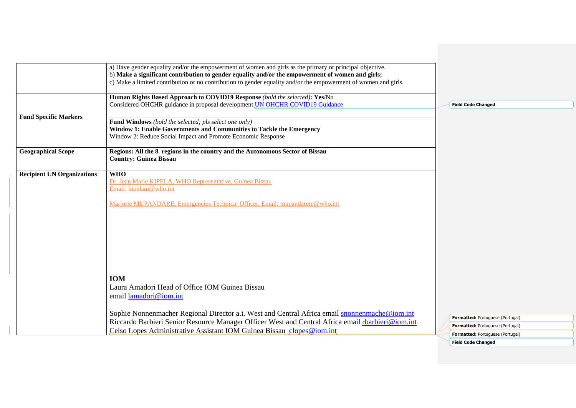|                                   | a) Have gender equality and/or the empowerment of women and girls as the primary or principal objective.<br>b) Make a significant contribution to gender equality and/or the empowerment of women and girls;<br>c) Make a limited contribution or no contribution to gender equality and/or the empowerment of women and girls. |                           |                                                                             |
|-----------------------------------|---------------------------------------------------------------------------------------------------------------------------------------------------------------------------------------------------------------------------------------------------------------------------------------------------------------------------------|---------------------------|-----------------------------------------------------------------------------|
|                                   | Human Rights Based Approach to COVID19 Response (bold the selected): Yes/No<br>Considered OHCHR guidance in proposal development <i>UN</i> OHCHR COVID19 Guidance                                                                                                                                                               | <b>Field Code Changed</b> |                                                                             |
| <b>Fund Specific Markers</b>      | Fund Windows (bold the selected; pls select one only)<br>Window 1: Enable Governments and Communities to Tackle the Emergency<br>Window 2: Reduce Social Impact and Promote Economic Response                                                                                                                                   |                           |                                                                             |
| <b>Geographical Scope</b>         | Regions: All the 8 regions in the country and the Autonomous Sector of Bissau<br><b>Country: Guinea Bissau</b>                                                                                                                                                                                                                  |                           |                                                                             |
| <b>Recipient UN Organizations</b> | <b>WHO</b><br>Dr. Jean Marie KIPELA, WHO Representative, Guinea Bissau<br>Email: kipelam@who.int<br>Marjorie MUPANDARE, Emergencies Technical Officer. Email: mupandarem@who.int                                                                                                                                                |                           |                                                                             |
|                                   | <b>IOM</b><br>Laura Amadori Head of Office IOM Guinea Bissau<br>email lamadori@iom.int                                                                                                                                                                                                                                          |                           |                                                                             |
|                                   | Sophie Nonnenmacher Regional Director a.i. West and Central Africa email snonnenmache@iom.int<br>Riccardo Barbieri Senior Resource Manager Officer West and Central Africa email rbarbieri@iom.int                                                                                                                              |                           | Formatted: Portuguese (Portugal)                                            |
|                                   | Celso Lopes Administrative Assistant IOM Guinea Bissau clopes@iom.int                                                                                                                                                                                                                                                           |                           | Formatted: Portuguese (Portugal)<br><b>Formatted: Portuguese (Portugal)</b> |

**Field Code Changed**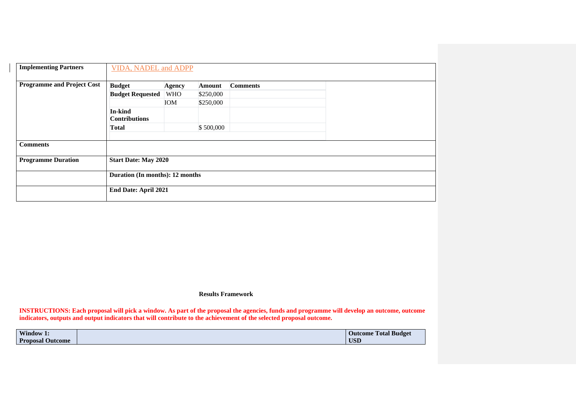| <b>Implementing Partners</b>      | <b>VIDA, NADEL and ADPP</b>     |               |           |                 |  |
|-----------------------------------|---------------------------------|---------------|-----------|-----------------|--|
| <b>Programme and Project Cost</b> | <b>Budget</b>                   | <b>Agency</b> | Amount    | <b>Comments</b> |  |
|                                   | <b>Budget Requested</b>         | <b>WHO</b>    | \$250,000 |                 |  |
|                                   |                                 | <b>IOM</b>    | \$250,000 |                 |  |
|                                   | In-kind<br><b>Contributions</b> |               |           |                 |  |
|                                   | <b>Total</b>                    |               | \$500,000 |                 |  |
|                                   |                                 |               |           |                 |  |
| <b>Comments</b>                   |                                 |               |           |                 |  |
| <b>Programme Duration</b>         | <b>Start Date: May 2020</b>     |               |           |                 |  |
|                                   | Duration (In months): 12 months |               |           |                 |  |
|                                   | End Date: April 2021            |               |           |                 |  |

**Results Framework**

**INSTRUCTIONS: Each proposal will pick a window. As part of the proposal the agencies, funds and programme will develop an outcome, outcome indicators, outputs and output indicators that will contribute to the achievement of the selected proposal outcome.**

| Window 1.               | <b>Total Budget</b><br><b>Outcome</b> |
|-------------------------|---------------------------------------|
| <b>Proposal Outcome</b> | <b>USD</b>                            |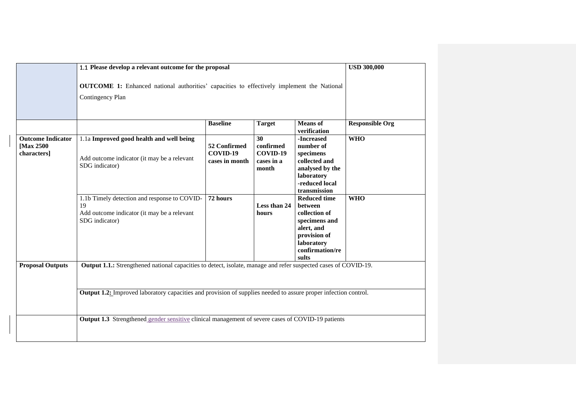|                                                      | 1.1 Please develop a relevant outcome for the proposal                                                                 |                                            |                                                    |                                                                                                                                                 |                        |  |  |  |
|------------------------------------------------------|------------------------------------------------------------------------------------------------------------------------|--------------------------------------------|----------------------------------------------------|-------------------------------------------------------------------------------------------------------------------------------------------------|------------------------|--|--|--|
|                                                      | <b>OUTCOME 1:</b> Enhanced national authorities' capacities to effectively implement the National<br>Contingency Plan  |                                            |                                                    |                                                                                                                                                 |                        |  |  |  |
|                                                      |                                                                                                                        | <b>Baseline</b>                            | <b>Target</b>                                      | <b>Means</b> of<br>verification                                                                                                                 | <b>Responsible Org</b> |  |  |  |
| <b>Outcome Indicator</b><br>[Max 2500<br>characters] | 1.1a Improved good health and well being<br>Add outcome indicator (it may be a relevant<br>SDG indicator)              | 52 Confirmed<br>COVID-19<br>cases in month | 30<br>confirmed<br>COVID-19<br>cases in a<br>month | -Increased<br>number of<br>$s$ pecimens $\,$<br>collected and<br>analysed by the<br>laboratory<br>-reduced local<br>transmission                | <b>WHO</b>             |  |  |  |
|                                                      | 1.1b Timely detection and response to COVID-<br>19<br>Add outcome indicator (it may be a relevant<br>SDG indicator)    | 72 hours                                   | Less than 24<br>hours                              | <b>Reduced time</b><br><b>between</b><br>collection of<br>specimens and<br>alert, and<br>provision of<br>laboratory<br>confirmation/re<br>sults | <b>WHO</b>             |  |  |  |
| <b>Proposal Outputs</b>                              | Output 1.1.: Strengthened national capacities to detect, isolate, manage and refer suspected cases of COVID-19.        |                                            |                                                    |                                                                                                                                                 |                        |  |  |  |
|                                                      | <b>Output 1.2:</b> Improved laboratory capacities and provision of supplies needed to assure proper infection control. |                                            |                                                    |                                                                                                                                                 |                        |  |  |  |
|                                                      | Output 1.3 Strengthened gender sensitive clinical management of severe cases of COVID-19 patients                      |                                            |                                                    |                                                                                                                                                 |                        |  |  |  |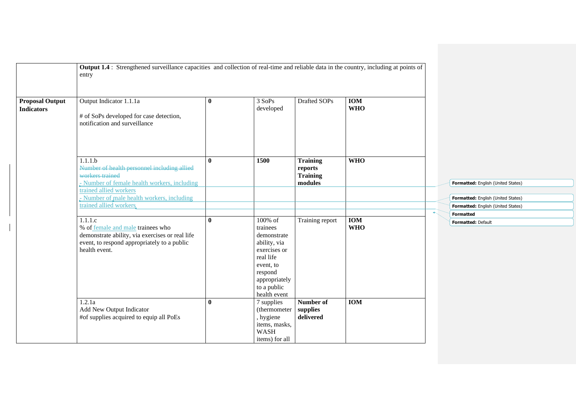|                                             | <b>Output 1.4</b> : Strengthened surveillance capacities and collection of real-time and reliable data in the country, including at points of<br>entry          |              |                                                                                                                                                         |                                                          |                          |                                    |
|---------------------------------------------|-----------------------------------------------------------------------------------------------------------------------------------------------------------------|--------------|---------------------------------------------------------------------------------------------------------------------------------------------------------|----------------------------------------------------------|--------------------------|------------------------------------|
| <b>Proposal Output</b><br><b>Indicators</b> | Output Indicator 1.1.1a<br># of SoPs developed for case detection,<br>notification and surveillance                                                             | $\bf{0}$     | 3 SoPs<br>developed                                                                                                                                     | Drafted SOPs                                             | <b>IOM</b><br><b>WHO</b> |                                    |
|                                             | 1.1.1.b<br>Number of health personnel including allied<br>workers trained<br>- Number of female health workers, including<br>trained allied workers             | $\mathbf{0}$ | 1500                                                                                                                                                    | <b>Training</b><br>reports<br><b>Training</b><br>modules | <b>WHO</b>               | Formatted: English (United States) |
|                                             | - Number of male health workers, including                                                                                                                      |              |                                                                                                                                                         |                                                          |                          | Formatted: English (United States) |
|                                             | trained allied workers.                                                                                                                                         |              |                                                                                                                                                         |                                                          |                          | Formatted: English (United States) |
|                                             |                                                                                                                                                                 |              |                                                                                                                                                         |                                                          |                          | <b>Formatted</b>                   |
|                                             | 1.1.1.c<br>% of female and male trainees who<br>demonstrate ability, via exercises or real life<br>event, to respond appropriately to a public<br>health event. | $\mathbf{0}$ | 100% of<br>trainees<br>demonstrate<br>ability, via<br>exercises or<br>real life<br>event, to<br>respond<br>appropriately<br>to a public<br>health event | Training report                                          | <b>IOM</b><br><b>WHO</b> | Formatted: Default                 |
|                                             | 1.2.1a<br>Add New Output Indicator<br>#of supplies acquired to equip all PoEs                                                                                   | $\mathbf{0}$ | 7 supplies<br>(thermometer)<br>, hygiene<br>items, masks,<br><b>WASH</b><br>items) for all                                                              | Number of<br>supplies<br>delivered                       | <b>IOM</b>               |                                    |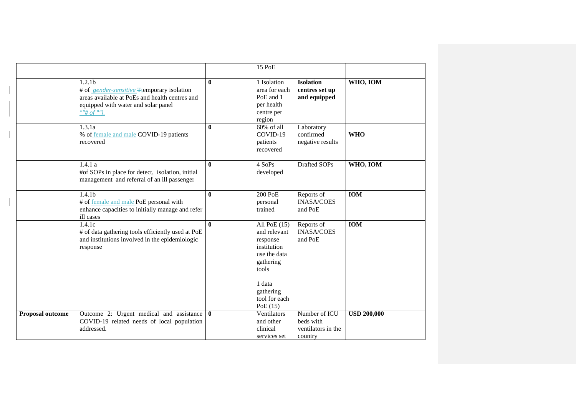|                  |                                                                                                                                                                                                         |              | 15 PoE                                                                                                                                                |                                                             |                    |
|------------------|---------------------------------------------------------------------------------------------------------------------------------------------------------------------------------------------------------|--------------|-------------------------------------------------------------------------------------------------------------------------------------------------------|-------------------------------------------------------------|--------------------|
|                  | 1.2.1 <sub>b</sub><br># of <i>gender-sensitive</i> Ftemporary isolation<br>areas available at PoEs and health centres and<br>equipped with water and solar panel<br>$\frac{m}{\#}$ of $\frac{mn}{\#}$ . | $\mathbf{0}$ | 1 Isolation<br>area for each<br>PoE and 1<br>per health<br>centre per<br>region                                                                       | <b>Isolation</b><br>centres set up<br>and equipped          | WHO, IOM           |
|                  | 1.3.1a<br>% of female and male COVID-19 patients<br>recovered                                                                                                                                           | $\mathbf{0}$ | 60% of all<br>COVID-19<br>patients<br>recovered                                                                                                       | Laboratory<br>confirmed<br>negative results                 | <b>WHO</b>         |
|                  | 1.4.1a<br>#of SOPs in place for detect, isolation, initial<br>management and referral of an ill passenger                                                                                               | $\mathbf{0}$ | 4 SoPs<br>developed                                                                                                                                   | Drafted SOPs                                                | WHO, IOM           |
|                  | 1.4.1 <sub>b</sub><br># of female and male PoE personal with<br>enhance capacities to initially manage and refer<br>ill cases                                                                           | $\mathbf{0}$ | 200 PoE<br>personal<br>trained                                                                                                                        | Reports of<br><b>INASA/COES</b><br>and PoE                  | <b>IOM</b>         |
|                  | 1.4.1c<br># of data gathering tools efficiently used at PoE<br>and institutions involved in the epidemiologic<br>response                                                                               | $\mathbf{0}$ | All PoE $(15)$<br>and relevant<br>response<br>institution<br>use the data<br>gathering<br>tools<br>1 data<br>gathering<br>tool for each<br>PoE $(15)$ | Reports of<br><b>INASA/COES</b><br>and PoE                  | <b>IOM</b>         |
| Proposal outcome | Outcome 2: Urgent medical and assistance 0<br>COVID-19 related needs of local population<br>addressed.                                                                                                  |              | Ventilators<br>and other<br>clinical<br>services set                                                                                                  | Number of ICU<br>beds with<br>ventilators in the<br>country | <b>USD 200,000</b> |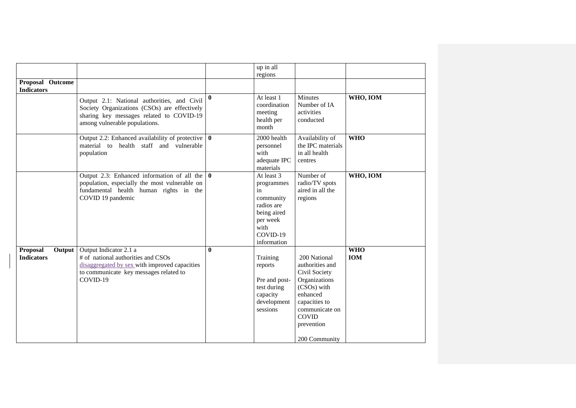|                                                |                                                                                                                                                                             |              | up in all                                                                                                               |                                                                                                                                                                                |                          |
|------------------------------------------------|-----------------------------------------------------------------------------------------------------------------------------------------------------------------------------|--------------|-------------------------------------------------------------------------------------------------------------------------|--------------------------------------------------------------------------------------------------------------------------------------------------------------------------------|--------------------------|
|                                                |                                                                                                                                                                             |              | regions                                                                                                                 |                                                                                                                                                                                |                          |
| Proposal Outcome                               |                                                                                                                                                                             |              |                                                                                                                         |                                                                                                                                                                                |                          |
| <b>Indicators</b>                              |                                                                                                                                                                             |              |                                                                                                                         |                                                                                                                                                                                |                          |
|                                                | Output 2.1: National authorities, and Civil<br>Society Organizations (CSOs) are effectively<br>sharing key messages related to COVID-19<br>among vulnerable populations.    | $\mathbf{0}$ | At least 1<br>coordination<br>meeting<br>health per<br>month                                                            | <b>Minutes</b><br>Number of IA<br>activities<br>conducted                                                                                                                      | WHO, IOM                 |
|                                                | Output 2.2: Enhanced availability of protective $\vert \mathbf{0} \vert$<br>material to health staff and vulnerable<br>population                                           |              | 2000 health<br>personnel<br>with<br>adequate IPC<br>materials                                                           | Availability of<br>the IPC materials<br>in all health<br>centres                                                                                                               | <b>WHO</b>               |
|                                                | Output 2.3: Enhanced information of all the $\vert 0 \vert$<br>population, especially the most vulnerable on<br>fundamental health human rights in the<br>COVID 19 pandemic |              | At least 3<br>programmes<br>in<br>community<br>radios are<br>being aired<br>per week<br>with<br>COVID-19<br>information | Number of<br>radio/TV spots<br>aired in all the<br>regions                                                                                                                     | WHO, IOM                 |
| <b>Proposal</b><br>Output<br><b>Indicators</b> | Output Indicator 2.1 a<br># of national authorities and CSOs<br>disaggregated by sex with improved capacities<br>to communicate key messages related to<br>COVID-19         | $\mathbf{0}$ | Training<br>reports<br>Pre and post-<br>test during<br>capacity<br>development<br>sessions                              | 200 National<br>authorities and<br>Civil Society<br>Organizations<br>(CSOs) with<br>enhanced<br>capacities to<br>communicate on<br><b>COVID</b><br>prevention<br>200 Community | <b>WHO</b><br><b>IOM</b> |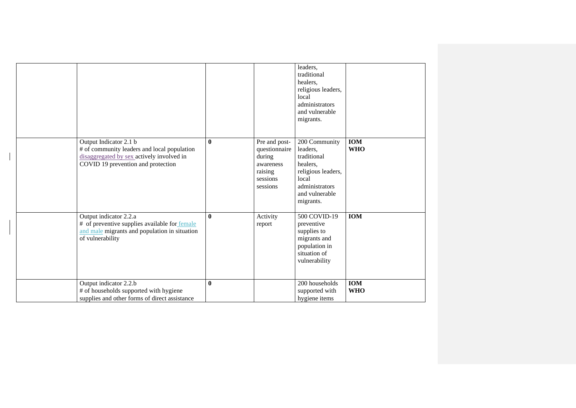|                                                                                                                                                          |              |                                                                                          | leaders,<br>traditional<br>healers,<br>religious leaders,<br>local<br>administrators<br>and vulnerable<br>migrants.                  |                          |
|----------------------------------------------------------------------------------------------------------------------------------------------------------|--------------|------------------------------------------------------------------------------------------|--------------------------------------------------------------------------------------------------------------------------------------|--------------------------|
| Output Indicator 2.1 b<br># of community leaders and local population<br>disaggregated by sex actively involved in<br>COVID 19 prevention and protection | $\bf{0}$     | Pre and post-<br>questionnaire<br>during<br>awareness<br>raising<br>sessions<br>sessions | 200 Community<br>leaders,<br>traditional<br>healers,<br>religious leaders,<br>local<br>administrators<br>and vulnerable<br>migrants. | <b>IOM</b><br><b>WHO</b> |
| Output indicator 2.2.a<br># of preventive supplies available for female<br>and male migrants and population in situation<br>of vulnerability             | $\bf{0}$     | Activity<br>report                                                                       | 500 COVID-19<br>preventive<br>supplies to<br>migrants and<br>population in<br>situation of<br>vulnerability                          | <b>IOM</b>               |
| Output indicator 2.2.b<br># of households supported with hygiene<br>supplies and other forms of direct assistance                                        | $\mathbf{0}$ |                                                                                          | 200 households<br>supported with<br>hygiene items                                                                                    | <b>IOM</b><br><b>WHO</b> |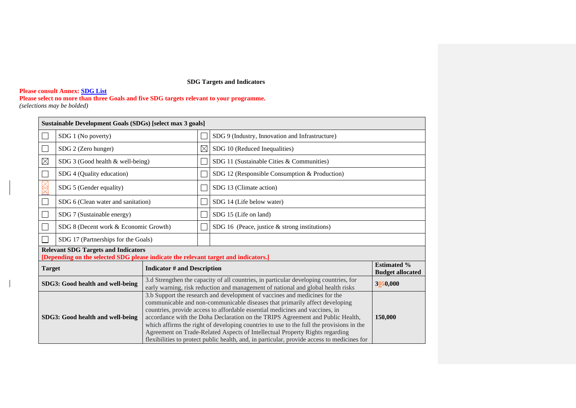# **SDG Targets and Indicators**

### **Please consult Annex: [SDG List](#page-26-0)**

**Please select no more than three Goals and five SDG targets relevant to your programme.** *(selections may be bolded)* 

| Sustainable Development Goals (SDGs) [select max 3 goals] |                                                                                                                                   |                                    |  |                                                                                                                                                                                                                                                                                                                                                                                                                                                                                                                                                                                                        |                                               |  |  |  |  |
|-----------------------------------------------------------|-----------------------------------------------------------------------------------------------------------------------------------|------------------------------------|--|--------------------------------------------------------------------------------------------------------------------------------------------------------------------------------------------------------------------------------------------------------------------------------------------------------------------------------------------------------------------------------------------------------------------------------------------------------------------------------------------------------------------------------------------------------------------------------------------------------|-----------------------------------------------|--|--|--|--|
|                                                           | SDG 1 (No poverty)                                                                                                                |                                    |  | SDG 9 (Industry, Innovation and Infrastructure)                                                                                                                                                                                                                                                                                                                                                                                                                                                                                                                                                        |                                               |  |  |  |  |
|                                                           | SDG 2 (Zero hunger)                                                                                                               |                                    |  | SDG 10 (Reduced Inequalities)                                                                                                                                                                                                                                                                                                                                                                                                                                                                                                                                                                          |                                               |  |  |  |  |
| $\boxtimes$                                               | SDG 3 (Good health & well-being)                                                                                                  |                                    |  | SDG 11 (Sustainable Cities & Communities)                                                                                                                                                                                                                                                                                                                                                                                                                                                                                                                                                              |                                               |  |  |  |  |
|                                                           | SDG 4 (Quality education)                                                                                                         |                                    |  | SDG 12 (Responsible Consumption & Production)                                                                                                                                                                                                                                                                                                                                                                                                                                                                                                                                                          |                                               |  |  |  |  |
|                                                           | SDG 5 (Gender equality)                                                                                                           |                                    |  | SDG 13 (Climate action)                                                                                                                                                                                                                                                                                                                                                                                                                                                                                                                                                                                |                                               |  |  |  |  |
|                                                           | SDG 6 (Clean water and sanitation)                                                                                                |                                    |  | SDG 14 (Life below water)                                                                                                                                                                                                                                                                                                                                                                                                                                                                                                                                                                              |                                               |  |  |  |  |
|                                                           | SDG 7 (Sustainable energy)                                                                                                        |                                    |  | SDG 15 (Life on land)                                                                                                                                                                                                                                                                                                                                                                                                                                                                                                                                                                                  |                                               |  |  |  |  |
|                                                           | SDG 8 (Decent work & Economic Growth)                                                                                             |                                    |  | SDG 16 (Peace, justice $&$ strong institutions)                                                                                                                                                                                                                                                                                                                                                                                                                                                                                                                                                        |                                               |  |  |  |  |
|                                                           | SDG 17 (Partnerships for the Goals)                                                                                               |                                    |  |                                                                                                                                                                                                                                                                                                                                                                                                                                                                                                                                                                                                        |                                               |  |  |  |  |
|                                                           | <b>Relevant SDG Targets and Indicators</b><br>[Depending on the selected SDG please indicate the relevant target and indicators.] |                                    |  |                                                                                                                                                                                                                                                                                                                                                                                                                                                                                                                                                                                                        |                                               |  |  |  |  |
| <b>Target</b>                                             |                                                                                                                                   | <b>Indicator # and Description</b> |  |                                                                                                                                                                                                                                                                                                                                                                                                                                                                                                                                                                                                        | <b>Estimated %</b><br><b>Budget allocated</b> |  |  |  |  |
| SDG3: Good health and well-being                          |                                                                                                                                   |                                    |  | 3.d Strengthen the capacity of all countries, in particular developing countries, for<br>early warning, risk reduction and management of national and global health risks                                                                                                                                                                                                                                                                                                                                                                                                                              | 3050,000                                      |  |  |  |  |
| SDG3: Good health and well-being                          |                                                                                                                                   |                                    |  | 3.b Support the research and development of vaccines and medicines for the<br>communicable and non-communicable diseases that primarily affect developing<br>countries, provide access to affordable essential medicines and vaccines, in<br>accordance with the Doha Declaration on the TRIPS Agreement and Public Health,<br>which affirms the right of developing countries to use to the full the provisions in the<br>Agreement on Trade-Related Aspects of Intellectual Property Rights regarding<br>flexibilities to protect public health, and, in particular, provide access to medicines for | 150,000                                       |  |  |  |  |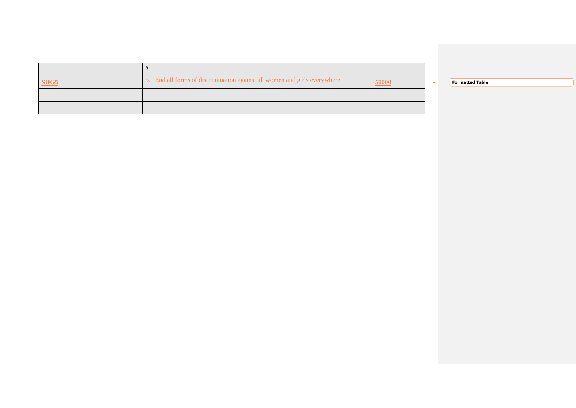| all                                                                        |      |                        |
|----------------------------------------------------------------------------|------|------------------------|
| 5.1 End all forms of discrimination against all women and girls everywhere | 0000 | <b>Formatted Table</b> |
|                                                                            |      |                        |
|                                                                            |      |                        |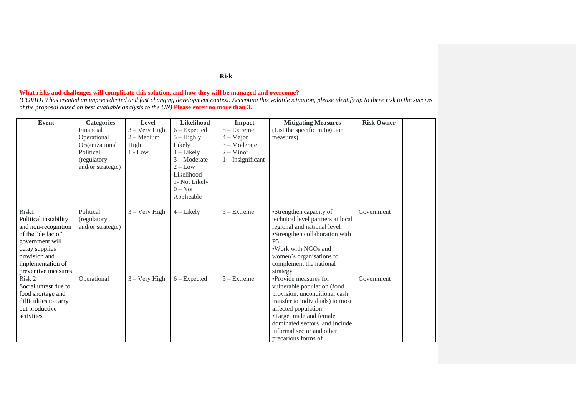# **What risks and challenges will complicate this solution, and how they will be managed and overcome?**

*(COVID19 has created an unprecedented and fast changing development context. Accepting this volatile situation, please identify up to three risk to the success of the proposal based on best available analysis to the UN)* **Please enter no more than 3.**

| Event                 | <b>Categories</b> | Level               | Likelihood     | <b>Impact</b>       | <b>Mitigating Measures</b>        | <b>Risk Owner</b> |  |
|-----------------------|-------------------|---------------------|----------------|---------------------|-----------------------------------|-------------------|--|
|                       | Financial         | $3 -$ Very High     | $6 -$ Expected | $5 -$ Extreme       | (List the specific mitigation     |                   |  |
|                       | Operational       | $2 - \text{Median}$ | $5 -$ Highly   | $4 -$ Major         | measures)                         |                   |  |
|                       | Organizational    | High                | Likely         | $3 -$ Moderate      |                                   |                   |  |
|                       | Political         | $1 - Low$           | $4$ – Likely   | $2 -$ Minor         |                                   |                   |  |
|                       | (regulatory       |                     | 3 – Moderate   | $1$ – Insignificant |                                   |                   |  |
|                       | and/or strategic) |                     | $2 - Low$      |                     |                                   |                   |  |
|                       |                   |                     | Likelihood     |                     |                                   |                   |  |
|                       |                   |                     | 1- Not Likely  |                     |                                   |                   |  |
|                       |                   |                     | $0 - Not$      |                     |                                   |                   |  |
|                       |                   |                     | Applicable     |                     |                                   |                   |  |
|                       |                   |                     |                |                     |                                   |                   |  |
| Risk1                 | Political         | $3 - Very High$     | $4$ – Likely   | $5 -$ Extreme       | •Strengthen capacity of           | Government        |  |
| Political instability | (regulatory)      |                     |                |                     | technical level partners at local |                   |  |
| and non-recognition   | and/or strategic) |                     |                |                     | regional and national level       |                   |  |
| of the "de facto"     |                   |                     |                |                     | •Strengthen collaboration with    |                   |  |
| government will       |                   |                     |                |                     | <b>P5</b>                         |                   |  |
| delay supplies        |                   |                     |                |                     | . Work with NGOs and              |                   |  |
| provision and         |                   |                     |                |                     | women's organisations to          |                   |  |
| implementation of     |                   |                     |                |                     | complement the national           |                   |  |
| preventive measures   |                   |                     |                |                     | strategy                          |                   |  |
| Risk 2                | Operational       | $3 - Very High$     | $6 - Expected$ | $5 -$ Extreme       | •Provide measures for             | Government        |  |
| Social unrest due to  |                   |                     |                |                     | vulnerable population (food       |                   |  |
| food shortage and     |                   |                     |                |                     | provision, unconditional cash     |                   |  |
| difficulties to carry |                   |                     |                |                     | transfer to individuals) to most  |                   |  |
| out productive        |                   |                     |                |                     | affected population               |                   |  |
| activities            |                   |                     |                |                     | •Target male and female           |                   |  |
|                       |                   |                     |                |                     | dominated sectors and include     |                   |  |
|                       |                   |                     |                |                     | informal sector and other         |                   |  |
|                       |                   |                     |                |                     | precarious forms of               |                   |  |

### **Risk**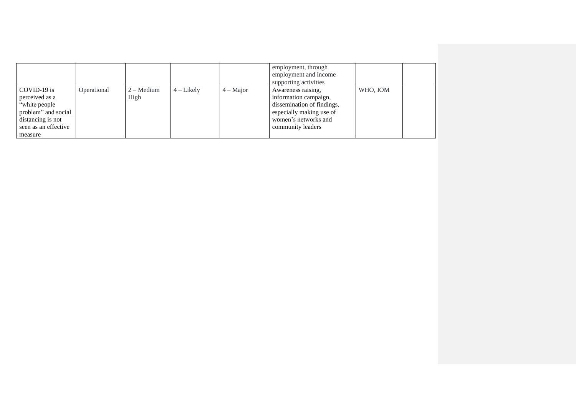|                                                                                                                                |             |                             |              |             | employment, through<br>employment and income<br>supporting activities                                                                              |          |  |
|--------------------------------------------------------------------------------------------------------------------------------|-------------|-----------------------------|--------------|-------------|----------------------------------------------------------------------------------------------------------------------------------------------------|----------|--|
| COVID-19 is<br>perceived as a<br>"white people"<br>problem" and social<br>distancing is not<br>seen as an effective<br>measure | Operational | $2 - \text{Median}$<br>High | $4$ – Likely | $4 -$ Major | Awareness raising,<br>information campaign,<br>dissemination of findings,<br>especially making use of<br>women's networks and<br>community leaders | WHO, IOM |  |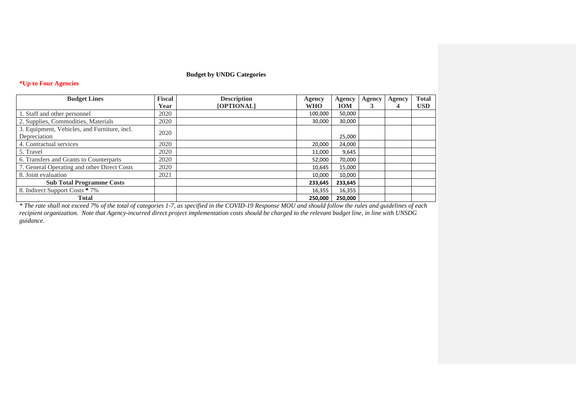# **Budget by UNDG Categories**

# **\*Up to Four Agencies**

| <b>Budget Lines</b>                          | <b>Fiscal</b> | <b>Description</b> | <b>Agency</b> | <b>Agency</b> | <b>Agency</b> | Agency | <b>Total</b> |
|----------------------------------------------|---------------|--------------------|---------------|---------------|---------------|--------|--------------|
|                                              | Year          | [OPTIONAL]         | <b>WHO</b>    | <b>IOM</b>    |               | 4      | <b>USD</b>   |
| 1. Staff and other personnel                 | 2020          |                    | 100,000       | 50,000        |               |        |              |
| 2. Supplies, Commodities, Materials          | 2020          |                    | 30,000        | 30,000        |               |        |              |
| 3. Equipment, Vehicles, and Furniture, incl. | 2020          |                    |               |               |               |        |              |
| Depreciation                                 |               |                    |               | 25,000        |               |        |              |
| 4. Contractual services                      | 2020          |                    | 20,000        | 24,000        |               |        |              |
| 5. Travel                                    | 2020          |                    | 11,000        | 9,645         |               |        |              |
| 6. Transfers and Grants to Counterparts      | 2020          |                    | 52,000        | 70,000        |               |        |              |
| 7. General Operating and other Direct Costs  | 2020          |                    | 10,645        | 15,000        |               |        |              |
| 8. Joint evaluation                          | 2021          |                    | 10,000        | 10,000        |               |        |              |
| <b>Sub Total Programme Costs</b>             |               |                    | 233,645       | 233,645       |               |        |              |
| 8. Indirect Support Costs * 7%               |               |                    | 16,355        | 16,355        |               |        |              |
| <b>Total</b>                                 |               |                    | 250,000       | 250,000       |               |        |              |

*\* The rate shall not exceed 7% of the total of categories 1-7, as specified in the COVID-19 Response MOU and should follow the rules and guidelines of each recipient organization. Note that Agency-incurred direct project implementation costs should be charged to the relevant budget line, in line with UNSDG guidance.*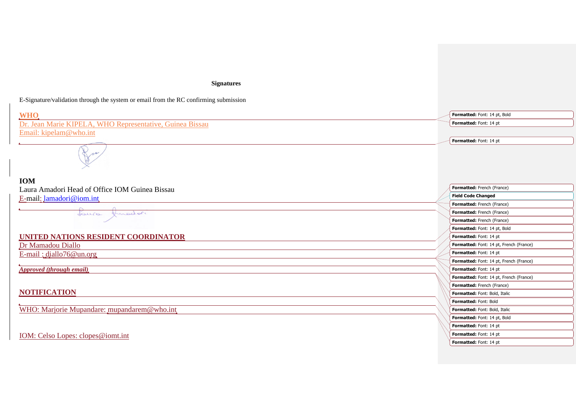# **Signatures**

E-Signature/validation through the system or email from the RC confirming submission

| <b>WHO</b>                                               | Formatted: Font: 14 pt, Bold            |
|----------------------------------------------------------|-----------------------------------------|
| Dr. Jean Marie KIPELA, WHO Representative, Guinea Bissau | Formatted: Font: 14 pt                  |
| Email: kipelam@who.int                                   |                                         |
|                                                          | Formatted: Font: 14 pt                  |
|                                                          |                                         |
| <b>IOM</b>                                               |                                         |
| Laura Amadori Head of Office IOM Guinea Bissau           | Formatted: French (France)              |
| E-mail: lamadori@iom.int                                 | <b>Field Code Changed</b>               |
|                                                          | Formatted: French (France)              |
| Louis Juradori                                           | Formatted: French (France)              |
|                                                          | Formatted: French (France)              |
|                                                          | Formatted: Font: 14 pt, Bold            |
| UNITED NATIONS RESIDENT COORDINATOR                      | Formatted: Font: 14 pt                  |
| Dr Mamadou Diallo                                        | Formatted: Font: 14 pt, French (France) |
| $E$ -mail: diallo76@un.org                               | Formatted: Font: 14 pt                  |
|                                                          | Formatted: Font: 14 pt, French (France) |
| <b>Approved (through email)</b>                          | Formatted: Font: 14 pt                  |
|                                                          | Formatted: Font: 14 pt, French (France) |
|                                                          | Formatted: French (France)              |
| <b>NOTIFICATION</b>                                      | Formatted: Font: Bold, Italic           |
|                                                          | Formatted: Font: Bold                   |
| WHO: Marjorie Mupandare: mupandarem@who.int              | Formatted: Font: Bold, Italic           |
|                                                          | Formatted: Font: 14 pt, Bold            |
|                                                          | Formatted: Font: 14 pt                  |
| IOM: Celso Lopes: clopes@iomt.int                        | Formatted: Font: 14 pt                  |
|                                                          | Formatted: Font: 14 pt                  |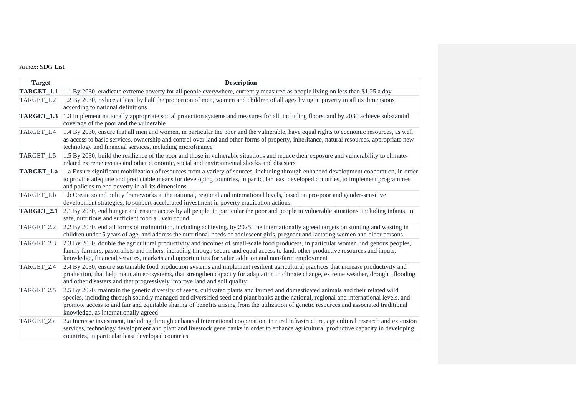# <span id="page-26-0"></span>Annex: SDG List

| <b>Target</b>         | <b>Description</b>                                                                                                                                                                                                                                                                                                                                                                                                                                                 |
|-----------------------|--------------------------------------------------------------------------------------------------------------------------------------------------------------------------------------------------------------------------------------------------------------------------------------------------------------------------------------------------------------------------------------------------------------------------------------------------------------------|
| TARGET_1.1            | 1.1 By 2030, eradicate extreme poverty for all people everywhere, currently measured as people living on less than \$1.25 a day                                                                                                                                                                                                                                                                                                                                    |
| TARGET <sub>1.2</sub> | 1.2 By 2030, reduce at least by half the proportion of men, women and children of all ages living in poverty in all its dimensions<br>according to national definitions                                                                                                                                                                                                                                                                                            |
| TARGET_1.3            | 1.3 Implement nationally appropriate social protection systems and measures for all, including floors, and by 2030 achieve substantial<br>coverage of the poor and the vulnerable                                                                                                                                                                                                                                                                                  |
| TARGET <sub>1.4</sub> | 1.4 By 2030, ensure that all men and women, in particular the poor and the vulnerable, have equal rights to economic resources, as well<br>as access to basic services, ownership and control over land and other forms of property, inheritance, natural resources, appropriate new<br>technology and financial services, including microfinance                                                                                                                  |
| TARGET 1.5            | 1.5 By 2030, build the resilience of the poor and those in vulnerable situations and reduce their exposure and vulnerability to climate-<br>related extreme events and other economic, social and environmental shocks and disasters                                                                                                                                                                                                                               |
| TARGET_1.a            | 1.a Ensure significant mobilization of resources from a variety of sources, including through enhanced development cooperation, in order<br>to provide adequate and predictable means for developing countries, in particular least developed countries, to implement programmes<br>and policies to end poverty in all its dimensions                                                                                                                              |
| TARGET_1.b            | 1.b Create sound policy frameworks at the national, regional and international levels, based on pro-poor and gender-sensitive<br>development strategies, to support accelerated investment in poverty eradication actions                                                                                                                                                                                                                                          |
| TARGET_2.1            | 2.1 By 2030, end hunger and ensure access by all people, in particular the poor and people in vulnerable situations, including infants, to<br>safe, nutritious and sufficient food all year round                                                                                                                                                                                                                                                                  |
| TARGET_2.2            | 2.2 By 2030, end all forms of malnutrition, including achieving, by 2025, the internationally agreed targets on stunting and wasting in<br>children under 5 years of age, and address the nutritional needs of adolescent girls, pregnant and lactating women and older persons                                                                                                                                                                                    |
| TARGET_2.3            | 2.3 By 2030, double the agricultural productivity and incomes of small-scale food producers, in particular women, indigenous peoples,<br>family farmers, pastoralists and fishers, including through secure and equal access to land, other productive resources and inputs,<br>knowledge, financial services, markets and opportunities for value addition and non-farm employment                                                                                |
| TARGET_2.4            | 2.4 By 2030, ensure sustainable food production systems and implement resilient agricultural practices that increase productivity and<br>production, that help maintain ecosystems, that strengthen capacity for adaptation to climate change, extreme weather, drought, flooding<br>and other disasters and that progressively improve land and soil quality                                                                                                      |
| TARGET_2.5            | 2.5 By 2020, maintain the genetic diversity of seeds, cultivated plants and farmed and domesticated animals and their related wild<br>species, including through soundly managed and diversified seed and plant banks at the national, regional and international levels, and<br>promote access to and fair and equitable sharing of benefits arising from the utilization of genetic resources and associated traditional<br>knowledge, as internationally agreed |
| TARGET_2.a            | 2.a Increase investment, including through enhanced international cooperation, in rural infrastructure, agricultural research and extension<br>services, technology development and plant and livestock gene banks in order to enhance agricultural productive capacity in developing<br>countries, in particular least developed countries                                                                                                                        |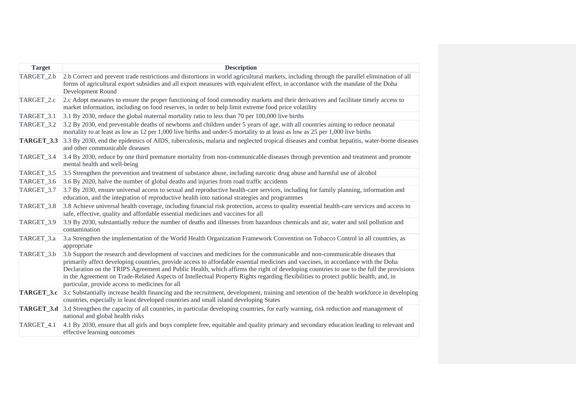| <b>Target</b>     | <b>Description</b>                                                                                                                                                                                                                                                                                                                                                                                                                                                                                                                                                                                   |
|-------------------|------------------------------------------------------------------------------------------------------------------------------------------------------------------------------------------------------------------------------------------------------------------------------------------------------------------------------------------------------------------------------------------------------------------------------------------------------------------------------------------------------------------------------------------------------------------------------------------------------|
| TARGET_2.b        | 2.b Correct and prevent trade restrictions and distortions in world agricultural markets, including through the parallel elimination of all<br>forms of agricultural export subsidies and all export measures with equivalent effect, in accordance with the mandate of the Doha<br>Development Round                                                                                                                                                                                                                                                                                                |
| TARGET_2.c        | 2.c Adopt measures to ensure the proper functioning of food commodity markets and their derivatives and facilitate timely access to<br>market information, including on food reserves, in order to help limit extreme food price volatility                                                                                                                                                                                                                                                                                                                                                          |
| TARGET_3.1        | 3.1 By 2030, reduce the global maternal mortality ratio to less than 70 per 100,000 live births                                                                                                                                                                                                                                                                                                                                                                                                                                                                                                      |
| TARGET_3.2        | 3.2 By 2030, end preventable deaths of newborns and children under 5 years of age, with all countries aiming to reduce neonatal<br>mortality to at least as low as 12 per 1,000 live births and under-5 mortality to at least as low as 25 per 1,000 live births                                                                                                                                                                                                                                                                                                                                     |
| <b>TARGET_3.3</b> | 3.3 By 2030, end the epidemics of AIDS, tuberculosis, malaria and neglected tropical diseases and combat hepatitis, water-borne diseases<br>and other communicable diseases                                                                                                                                                                                                                                                                                                                                                                                                                          |
| TARGET_3.4        | 3.4 By 2030, reduce by one third premature mortality from non-communicable diseases through prevention and treatment and promote<br>mental health and well-being                                                                                                                                                                                                                                                                                                                                                                                                                                     |
| TARGET_3.5        | 3.5 Strengthen the prevention and treatment of substance abuse, including narcotic drug abuse and harmful use of alcohol                                                                                                                                                                                                                                                                                                                                                                                                                                                                             |
| TARGET_3.6        | 3.6 By 2020, halve the number of global deaths and injuries from road traffic accidents                                                                                                                                                                                                                                                                                                                                                                                                                                                                                                              |
| TARGET_3.7        | 3.7 By 2030, ensure universal access to sexual and reproductive health-care services, including for family planning, information and<br>education, and the integration of reproductive health into national strategies and programmes                                                                                                                                                                                                                                                                                                                                                                |
| TARGET_3.8        | 3.8 Achieve universal health coverage, including financial risk protection, access to quality essential health-care services and access to<br>safe, effective, quality and affordable essential medicines and vaccines for all                                                                                                                                                                                                                                                                                                                                                                       |
| TARGET 3.9        | 3.9 By 2030, substantially reduce the number of deaths and illnesses from hazardous chemicals and air, water and soil pollution and<br>contamination                                                                                                                                                                                                                                                                                                                                                                                                                                                 |
| TARGET_3.a        | 3.a Strengthen the implementation of the World Health Organization Framework Convention on Tobacco Control in all countries, as<br>appropriate                                                                                                                                                                                                                                                                                                                                                                                                                                                       |
| TARGET_3.b        | 3.b Support the research and development of vaccines and medicines for the communicable and non-communicable diseases that<br>primarily affect developing countries, provide access to affordable essential medicines and vaccines, in accordance with the Doha<br>Declaration on the TRIPS Agreement and Public Health, which affirms the right of developing countries to use to the full the provisions<br>in the Agreement on Trade-Related Aspects of Intellectual Property Rights regarding flexibilities to protect public health, and, in<br>particular, provide access to medicines for all |
| TARGET_3.c        | 3.c Substantially increase health financing and the recruitment, development, training and retention of the health workforce in developing<br>countries, especially in least developed countries and small island developing States                                                                                                                                                                                                                                                                                                                                                                  |
|                   | <b>TARGET_3.d</b> 3.d Strengthen the capacity of all countries, in particular developing countries, for early warning, risk reduction and management of<br>national and global health risks                                                                                                                                                                                                                                                                                                                                                                                                          |
| TARGET_4.1        | 4.1 By 2030, ensure that all girls and boys complete free, equitable and quality primary and secondary education leading to relevant and<br>effective learning outcomes                                                                                                                                                                                                                                                                                                                                                                                                                              |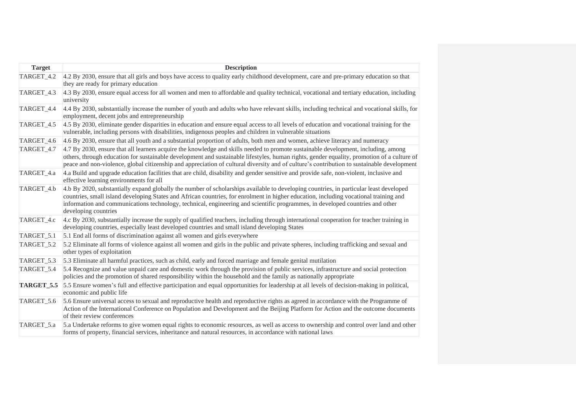| <b>Target</b>     | <b>Description</b>                                                                                                                                                                                                                                                                                                                                                                                                                       |
|-------------------|------------------------------------------------------------------------------------------------------------------------------------------------------------------------------------------------------------------------------------------------------------------------------------------------------------------------------------------------------------------------------------------------------------------------------------------|
| TARGET_4.2        | 4.2 By 2030, ensure that all girls and boys have access to quality early childhood development, care and pre-primary education so that<br>they are ready for primary education                                                                                                                                                                                                                                                           |
| TARGET_4.3        | 4.3 By 2030, ensure equal access for all women and men to affordable and quality technical, vocational and tertiary education, including<br>university                                                                                                                                                                                                                                                                                   |
| TARGET_4.4        | 4.4 By 2030, substantially increase the number of youth and adults who have relevant skills, including technical and vocational skills, for<br>employment, decent jobs and entrepreneurship                                                                                                                                                                                                                                              |
| TARGET_4.5        | 4.5 By 2030, eliminate gender disparities in education and ensure equal access to all levels of education and vocational training for the<br>vulnerable, including persons with disabilities, indigenous peoples and children in vulnerable situations                                                                                                                                                                                   |
| TARGET 4.6        | 4.6 By 2030, ensure that all youth and a substantial proportion of adults, both men and women, achieve literacy and numeracy                                                                                                                                                                                                                                                                                                             |
| TARGET_4.7        | 4.7 By 2030, ensure that all learners acquire the knowledge and skills needed to promote sustainable development, including, among<br>others, through education for sustainable development and sustainable lifestyles, human rights, gender equality, promotion of a culture of<br>peace and non-violence, global citizenship and appreciation of cultural diversity and of culture's contribution to sustainable development           |
| TARGET_4.a        | 4.a Build and upgrade education facilities that are child, disability and gender sensitive and provide safe, non-violent, inclusive and<br>effective learning environments for all                                                                                                                                                                                                                                                       |
| TARGET_4.b        | 4.b By 2020, substantially expand globally the number of scholarships available to developing countries, in particular least developed<br>countries, small island developing States and African countries, for enrolment in higher education, including vocational training and<br>information and communications technology, technical, engineering and scientific programmes, in developed countries and other<br>developing countries |
| TARGET_4.c        | 4.c By 2030, substantially increase the supply of qualified teachers, including through international cooperation for teacher training in<br>developing countries, especially least developed countries and small island developing States                                                                                                                                                                                               |
| TARGET_5.1        | 5.1 End all forms of discrimination against all women and girls everywhere                                                                                                                                                                                                                                                                                                                                                               |
| TARGET_5.2        | 5.2 Eliminate all forms of violence against all women and girls in the public and private spheres, including trafficking and sexual and<br>other types of exploitation                                                                                                                                                                                                                                                                   |
| TARGET_5.3        | 5.3 Eliminate all harmful practices, such as child, early and forced marriage and female genital mutilation                                                                                                                                                                                                                                                                                                                              |
| TARGET 5.4        | 5.4 Recognize and value unpaid care and domestic work through the provision of public services, infrastructure and social protection<br>policies and the promotion of shared responsibility within the household and the family as nationally appropriate                                                                                                                                                                                |
| <b>TARGET_5.5</b> | 5.5 Ensure women's full and effective participation and equal opportunities for leadership at all levels of decision-making in political,<br>economic and public life                                                                                                                                                                                                                                                                    |
| TARGET_5.6        | 5.6 Ensure universal access to sexual and reproductive health and reproductive rights as agreed in accordance with the Programme of<br>Action of the International Conference on Population and Development and the Beijing Platform for Action and the outcome documents<br>of their review conferences                                                                                                                                 |
| TARGET_5.a        | 5.a Undertake reforms to give women equal rights to economic resources, as well as access to ownership and control over land and other<br>forms of property, financial services, inheritance and natural resources, in accordance with national laws                                                                                                                                                                                     |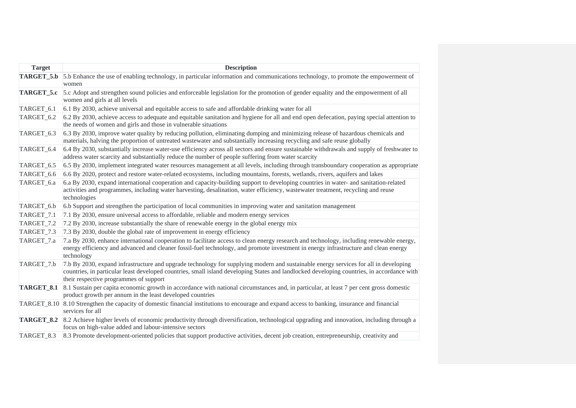| <b>Target</b>         | <b>Description</b>                                                                                                                                                                                                                                                                                                           |
|-----------------------|------------------------------------------------------------------------------------------------------------------------------------------------------------------------------------------------------------------------------------------------------------------------------------------------------------------------------|
| TARGET 5.b            | 5.b Enhance the use of enabling technology, in particular information and communications technology, to promote the empowerment of<br>women                                                                                                                                                                                  |
| TARGET 5.c            | 5.c Adopt and strengthen sound policies and enforceable legislation for the promotion of gender equality and the empowerment of all<br>women and girls at all levels                                                                                                                                                         |
| TARGET_6.1            | 6.1 By 2030, achieve universal and equitable access to safe and affordable drinking water for all                                                                                                                                                                                                                            |
| TARGET 6.2            | 6.2 By 2030, achieve access to adequate and equitable sanitation and hygiene for all and end open defecation, paying special attention to<br>the needs of women and girls and those in vulnerable situations                                                                                                                 |
| TARGET <sub>6.3</sub> | 6.3 By 2030, improve water quality by reducing pollution, eliminating dumping and minimizing release of hazardous chemicals and<br>materials, halving the proportion of untreated wastewater and substantially increasing recycling and safe reuse globally                                                                  |
| TARGET_6.4            | 6.4 By 2030, substantially increase water-use efficiency across all sectors and ensure sustainable withdrawals and supply of freshwater to<br>address water scarcity and substantially reduce the number of people suffering from water scarcity                                                                             |
| TARGET_6.5            | 6.5 By 2030, implement integrated water resources management at all levels, including through transboundary cooperation as appropriate                                                                                                                                                                                       |
| TARGET_6.6            | 6.6 By 2020, protect and restore water-related ecosystems, including mountains, forests, wetlands, rivers, aquifers and lakes                                                                                                                                                                                                |
| TARGET_6.a            | 6.a By 2030, expand international cooperation and capacity-building support to developing countries in water- and sanitation-related<br>activities and programmes, including water harvesting, desalination, water efficiency, wastewater treatment, recycling and reuse<br>technologies                                     |
| TARGET_6.b            | 6.b Support and strengthen the participation of local communities in improving water and sanitation management                                                                                                                                                                                                               |
| TARGET_7.1            | 7.1 By 2030, ensure universal access to affordable, reliable and modern energy services                                                                                                                                                                                                                                      |
| TARGET_7.2            | 7.2 By 2030, increase substantially the share of renewable energy in the global energy mix                                                                                                                                                                                                                                   |
| TARGET_7.3            | 7.3 By 2030, double the global rate of improvement in energy efficiency                                                                                                                                                                                                                                                      |
| TARGET_7.a            | 7.a By 2030, enhance international cooperation to facilitate access to clean energy research and technology, including renewable energy,<br>energy efficiency and advanced and cleaner fossil-fuel technology, and promote investment in energy infrastructure and clean energy<br>technology                                |
| TARGET_7.b            | 7.b By 2030, expand infrastructure and upgrade technology for supplying modern and sustainable energy services for all in developing<br>countries, in particular least developed countries, small island developing States and landlocked developing countries, in accordance with<br>their respective programmes of support |
| TARGET_8.1            | 8.1 Sustain per capita economic growth in accordance with national circumstances and, in particular, at least 7 per cent gross domestic<br>product growth per annum in the least developed countries                                                                                                                         |
|                       | TARGET_8.10 8.10 Strengthen the capacity of domestic financial institutions to encourage and expand access to banking, insurance and financial<br>services for all                                                                                                                                                           |
| TARGET <sub>8.2</sub> | 8.2 Achieve higher levels of economic productivity through diversification, technological upgrading and innovation, including through a<br>focus on high-value added and labour-intensive sectors                                                                                                                            |
| TARGET_8.3            | 8.3 Promote development-oriented policies that support productive activities, decent job creation, entrepreneurship, creativity and                                                                                                                                                                                          |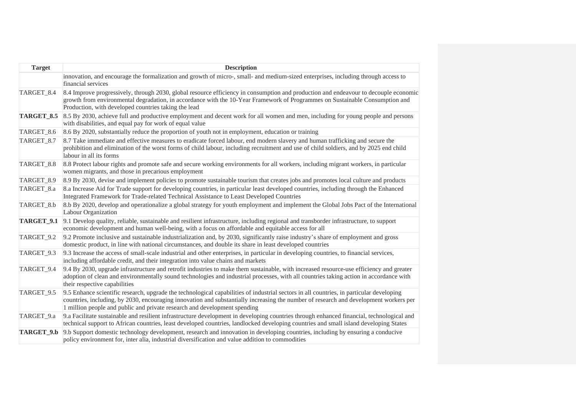| <b>Target</b>         | <b>Description</b>                                                                                                                                                                                                                                                                                                                                             |
|-----------------------|----------------------------------------------------------------------------------------------------------------------------------------------------------------------------------------------------------------------------------------------------------------------------------------------------------------------------------------------------------------|
|                       | innovation, and encourage the formalization and growth of micro-, small- and medium-sized enterprises, including through access to<br>financial services                                                                                                                                                                                                       |
| TARGET 8.4            | 8.4 Improve progressively, through 2030, global resource efficiency in consumption and production and endeavour to decouple economic<br>growth from environmental degradation, in accordance with the 10-Year Framework of Programmes on Sustainable Consumption and<br>Production, with developed countries taking the lead                                   |
| TARGET <sub>8.5</sub> | 8.5 By 2030, achieve full and productive employment and decent work for all women and men, including for young people and persons<br>with disabilities, and equal pay for work of equal value                                                                                                                                                                  |
| TARGET_8.6            | 8.6 By 2020, substantially reduce the proportion of youth not in employment, education or training                                                                                                                                                                                                                                                             |
| TARGET_8.7            | 8.7 Take immediate and effective measures to eradicate forced labour, end modern slavery and human trafficking and secure the<br>prohibition and elimination of the worst forms of child labour, including recruitment and use of child soldiers, and by 2025 end child<br>labour in all its forms                                                             |
| TARGET_8.8            | 8.8 Protect labour rights and promote safe and secure working environments for all workers, including migrant workers, in particular<br>women migrants, and those in precarious employment                                                                                                                                                                     |
| TARGET_8.9            | 8.9 By 2030, devise and implement policies to promote sustainable tourism that creates jobs and promotes local culture and products                                                                                                                                                                                                                            |
| TARGET_8.a            | 8.a Increase Aid for Trade support for developing countries, in particular least developed countries, including through the Enhanced<br>Integrated Framework for Trade-related Technical Assistance to Least Developed Countries                                                                                                                               |
| TARGET_8.b            | 8.b By 2020, develop and operationalize a global strategy for youth employment and implement the Global Jobs Pact of the International<br>Labour Organization                                                                                                                                                                                                  |
| TARGET <sub>9.1</sub> | 9.1 Develop quality, reliable, sustainable and resilient infrastructure, including regional and transborder infrastructure, to support<br>economic development and human well-being, with a focus on affordable and equitable access for all                                                                                                                   |
| TARGET_9.2            | 9.2 Promote inclusive and sustainable industrialization and, by 2030, significantly raise industry's share of employment and gross<br>domestic product, in line with national circumstances, and double its share in least developed countries                                                                                                                 |
| TARGET_9.3            | 9.3 Increase the access of small-scale industrial and other enterprises, in particular in developing countries, to financial services,<br>including affordable credit, and their integration into value chains and markets                                                                                                                                     |
| TARGET_9.4            | 9.4 By 2030, upgrade infrastructure and retrofit industries to make them sustainable, with increased resource-use efficiency and greater<br>adoption of clean and environmentally sound technologies and industrial processes, with all countries taking action in accordance with<br>their respective capabilities                                            |
| TARGET_9.5            | 9.5 Enhance scientific research, upgrade the technological capabilities of industrial sectors in all countries, in particular developing<br>countries, including, by 2030, encouraging innovation and substantially increasing the number of research and development workers per<br>1 million people and public and private research and development spending |
| TARGET_9.a            | 9.a Facilitate sustainable and resilient infrastructure development in developing countries through enhanced financial, technological and<br>technical support to African countries, least developed countries, landlocked developing countries and small island developing States                                                                             |
| TARGET_9.b            | 9.b Support domestic technology development, research and innovation in developing countries, including by ensuring a conducive<br>policy environment for, inter alia, industrial diversification and value addition to commodities                                                                                                                            |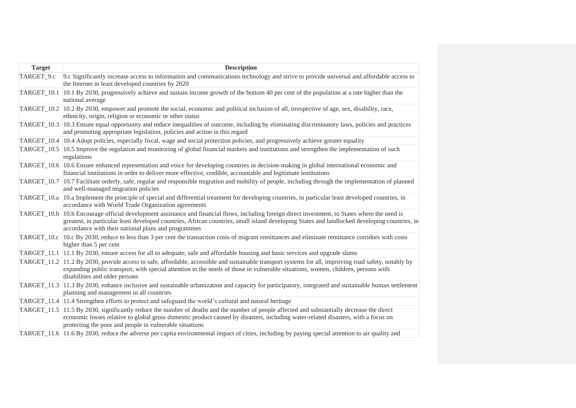| <b>Target</b> | <b>Description</b>                                                                                                                                                                                                                                                                                                                                      |
|---------------|---------------------------------------------------------------------------------------------------------------------------------------------------------------------------------------------------------------------------------------------------------------------------------------------------------------------------------------------------------|
| TARGET_9.c    | 9.c Significantly increase access to information and communications technology and strive to provide universal and affordable access to<br>the Internet in least developed countries by 2020                                                                                                                                                            |
| TARGET_10.1   | 10.1 By 2030, progressively achieve and sustain income growth of the bottom 40 per cent of the population at a rate higher than the<br>national average                                                                                                                                                                                                 |
| TARGET_10.2   | 10.2 By 2030, empower and promote the social, economic and political inclusion of all, irrespective of age, sex, disability, race,<br>ethnicity, origin, religion or economic or other status                                                                                                                                                           |
|               | TARGET_10.3  10.3 Ensure equal opportunity and reduce inequalities of outcome, including by eliminating discriminatory laws, policies and practices<br>and promoting appropriate legislation, policies and action in this regard                                                                                                                        |
|               | TARGET_10.4   10.4 Adopt policies, especially fiscal, wage and social protection policies, and progressively achieve greater equality                                                                                                                                                                                                                   |
|               | TARGET_10.5 10.5 Improve the regulation and monitoring of global financial markets and institutions and strengthen the implementation of such<br>regulations                                                                                                                                                                                            |
|               | TARGET_10.6  10.6 Ensure enhanced representation and voice for developing countries in decision-making in global international economic and<br>financial institutions in order to deliver more effective, credible, accountable and legitimate institutions                                                                                             |
|               | TARGET_10.7   10.7 Facilitate orderly, safe, regular and responsible migration and mobility of people, including through the implementation of planned<br>and well-managed migration policies                                                                                                                                                           |
|               | TARGET_10.a 10.a Implement the principle of special and differential treatment for developing countries, in particular least developed countries, in<br>accordance with World Trade Organization agreements                                                                                                                                             |
|               | TARGET_10.b 10.b Encourage official development assistance and financial flows, including foreign direct investment, to States where the need is<br>greatest, in particular least developed countries, African countries, small island developing States and landlocked developing countries, in<br>accordance with their national plans and programmes |
| TARGET_10.c   | 10.c By 2030, reduce to less than 3 per cent the transaction costs of migrant remittances and eliminate remittance corridors with costs<br>higher than 5 per cent                                                                                                                                                                                       |
|               | TARGET_11.1 11.1 By 2030, ensure access for all to adequate, safe and affordable housing and basic services and upgrade slums                                                                                                                                                                                                                           |
|               | TARGET_11.2  11.2 By 2030, provide access to safe, affordable, accessible and sustainable transport systems for all, improving road safety, notably by<br>expanding public transport, with special attention to the needs of those in vulnerable situations, women, children, persons with<br>disabilities and older persons                            |
|               | TARGET_11.3  11.3 By 2030, enhance inclusive and sustainable urbanization and capacity for participatory, integrated and sustainable human settlement<br>planning and management in all countries                                                                                                                                                       |
|               | $\text{TARGET}_11.4$  11.4 Strengthen efforts to protect and safeguard the world's cultural and natural heritage                                                                                                                                                                                                                                        |
|               | TARGET_11.5  11.5 By 2030, significantly reduce the number of deaths and the number of people affected and substantially decrease the direct<br>economic losses relative to global gross domestic product caused by disasters, including water-related disasters, with a focus on<br>protecting the poor and people in vulnerable situations            |
|               | TARGET_11.6 11.6 By 2030, reduce the adverse per capita environmental impact of cities, including by paying special attention to air quality and                                                                                                                                                                                                        |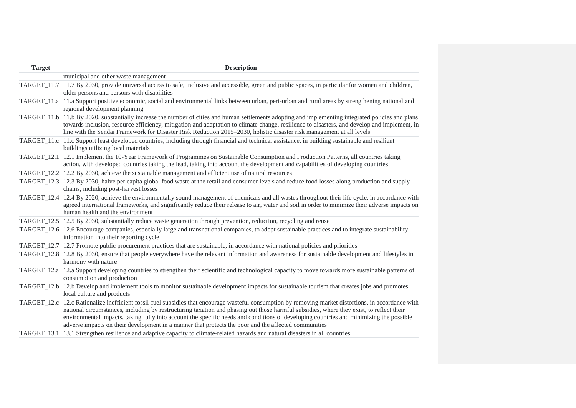| <b>Target</b> | <b>Description</b>                                                                                                                                                                                                                                                                                                                                                                                                                                                                                                                     |
|---------------|----------------------------------------------------------------------------------------------------------------------------------------------------------------------------------------------------------------------------------------------------------------------------------------------------------------------------------------------------------------------------------------------------------------------------------------------------------------------------------------------------------------------------------------|
|               | municipal and other waste management                                                                                                                                                                                                                                                                                                                                                                                                                                                                                                   |
|               | TARGET_11.7  11.7 By 2030, provide universal access to safe, inclusive and accessible, green and public spaces, in particular for women and children,<br>older persons and persons with disabilities                                                                                                                                                                                                                                                                                                                                   |
|               | TARGET_11.a 11.a Support positive economic, social and environmental links between urban, peri-urban and rural areas by strengthening national and<br>regional development planning                                                                                                                                                                                                                                                                                                                                                    |
|               | TARGET_11.b  11.b By 2020, substantially increase the number of cities and human settlements adopting and implementing integrated policies and plans<br>towards inclusion, resource efficiency, mitigation and adaptation to climate change, resilience to disasters, and develop and implement, in<br>line with the Sendai Framework for Disaster Risk Reduction 2015–2030, holistic disaster risk management at all levels                                                                                                           |
| TARGET_11.c   | 11.c Support least developed countries, including through financial and technical assistance, in building sustainable and resilient<br>buildings utilizing local materials                                                                                                                                                                                                                                                                                                                                                             |
|               | TARGET_12.1 12.1 Implement the 10-Year Framework of Programmes on Sustainable Consumption and Production Patterns, all countries taking<br>action, with developed countries taking the lead, taking into account the development and capabilities of developing countries                                                                                                                                                                                                                                                              |
|               | TARGET_12.2 $\vert$ 12.2 By 2030, achieve the sustainable management and efficient use of natural resources                                                                                                                                                                                                                                                                                                                                                                                                                            |
|               | TARGET_12.3 12.3 By 2030, halve per capita global food waste at the retail and consumer levels and reduce food losses along production and supply<br>chains, including post-harvest losses                                                                                                                                                                                                                                                                                                                                             |
|               | TARGET_12.4  12.4 By 2020, achieve the environmentally sound management of chemicals and all wastes throughout their life cycle, in accordance with<br>agreed international frameworks, and significantly reduce their release to air, water and soil in order to minimize their adverse impacts on<br>human health and the environment                                                                                                                                                                                                |
|               | TARGET_12.5 12.5 By 2030, substantially reduce waste generation through prevention, reduction, recycling and reuse                                                                                                                                                                                                                                                                                                                                                                                                                     |
|               | TARGET_12.6 12.6 Encourage companies, especially large and transnational companies, to adopt sustainable practices and to integrate sustainability<br>information into their reporting cycle                                                                                                                                                                                                                                                                                                                                           |
|               | TARGET_12.7 12.7 Promote public procurement practices that are sustainable, in accordance with national policies and priorities                                                                                                                                                                                                                                                                                                                                                                                                        |
|               | TARGET_12.8 12.8 By 2030, ensure that people everywhere have the relevant information and awareness for sustainable development and lifestyles in<br>harmony with nature                                                                                                                                                                                                                                                                                                                                                               |
|               | TARGET_12.a 12.a Support developing countries to strengthen their scientific and technological capacity to move towards more sustainable patterns of<br>consumption and production                                                                                                                                                                                                                                                                                                                                                     |
|               | TARGET_12.b 12.b Develop and implement tools to monitor sustainable development impacts for sustainable tourism that creates jobs and promotes<br>local culture and products                                                                                                                                                                                                                                                                                                                                                           |
| TARGET_12.c   | 12.c Rationalize inefficient fossil-fuel subsidies that encourage wasteful consumption by removing market distortions, in accordance with<br>national circumstances, including by restructuring taxation and phasing out those harmful subsidies, where they exist, to reflect their<br>environmental impacts, taking fully into account the specific needs and conditions of developing countries and minimizing the possible<br>adverse impacts on their development in a manner that protects the poor and the affected communities |
|               | TARGET_13.1 13.1 Strengthen resilience and adaptive capacity to climate-related hazards and natural disasters in all countries                                                                                                                                                                                                                                                                                                                                                                                                         |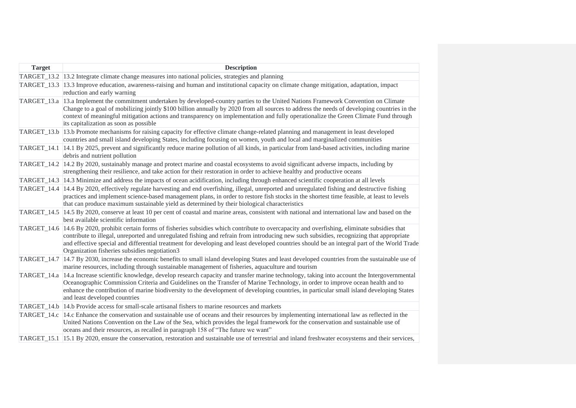| <b>Target</b> | <b>Description</b>                                                                                                                                                                                                                                                                                                                                                                                                                                                                            |
|---------------|-----------------------------------------------------------------------------------------------------------------------------------------------------------------------------------------------------------------------------------------------------------------------------------------------------------------------------------------------------------------------------------------------------------------------------------------------------------------------------------------------|
|               | TARGET_13.2 13.2 Integrate climate change measures into national policies, strategies and planning                                                                                                                                                                                                                                                                                                                                                                                            |
| TARGET 13.3   | 13.3 Improve education, awareness-raising and human and institutional capacity on climate change mitigation, adaptation, impact<br>reduction and early warning                                                                                                                                                                                                                                                                                                                                |
| TARGET_13.a   | 13.a Implement the commitment undertaken by developed-country parties to the United Nations Framework Convention on Climate<br>Change to a goal of mobilizing jointly \$100 billion annually by 2020 from all sources to address the needs of developing countries in the<br>context of meaningful mitigation actions and transparency on implementation and fully operationalize the Green Climate Fund through<br>its capitalization as soon as possible                                    |
|               | TARGET_13.b 13.b Promote mechanisms for raising capacity for effective climate change-related planning and management in least developed<br>countries and small island developing States, including focusing on women, youth and local and marginalized communities                                                                                                                                                                                                                           |
| TARGET_14.1   | 14.1 By 2025, prevent and significantly reduce marine pollution of all kinds, in particular from land-based activities, including marine<br>debris and nutrient pollution                                                                                                                                                                                                                                                                                                                     |
|               | TARGET_14.2 14.2 By 2020, sustainably manage and protect marine and coastal ecosystems to avoid significant adverse impacts, including by<br>strengthening their resilience, and take action for their restoration in order to achieve healthy and productive oceans                                                                                                                                                                                                                          |
|               | TARGET_14.3 14.3 Minimize and address the impacts of ocean acidification, including through enhanced scientific cooperation at all levels                                                                                                                                                                                                                                                                                                                                                     |
| TARGET 14.4   | 14.4 By 2020, effectively regulate harvesting and end overfishing, illegal, unreported and unregulated fishing and destructive fishing<br>practices and implement science-based management plans, in order to restore fish stocks in the shortest time feasible, at least to levels<br>that can produce maximum sustainable yield as determined by their biological characteristics                                                                                                           |
|               | TARGET_14.5   14.5 By 2020, conserve at least 10 per cent of coastal and marine areas, consistent with national and international law and based on the<br>best available scientific information                                                                                                                                                                                                                                                                                               |
|               | TARGET_14.6 14.6 By 2020, prohibit certain forms of fisheries subsidies which contribute to overcapacity and overfishing, eliminate subsidies that<br>contribute to illegal, unreported and unregulated fishing and refrain from introducing new such subsidies, recognizing that appropriate<br>and effective special and differential treatment for developing and least developed countries should be an integral part of the World Trade<br>Organization fisheries subsidies negotiation3 |
| TARGET_14.7   | 14.7 By 2030, increase the economic benefits to small island developing States and least developed countries from the sustainable use of<br>marine resources, including through sustainable management of fisheries, aquaculture and tourism                                                                                                                                                                                                                                                  |
|               | TARGET_14.a  14.a Increase scientific knowledge, develop research capacity and transfer marine technology, taking into account the Intergovernmental<br>Oceanographic Commission Criteria and Guidelines on the Transfer of Marine Technology, in order to improve ocean health and to<br>enhance the contribution of marine biodiversity to the development of developing countries, in particular small island developing States<br>and least developed countries                           |
|               | TARGET_14.b  14.b Provide access for small-scale artisanal fishers to marine resources and markets                                                                                                                                                                                                                                                                                                                                                                                            |
| TARGET_14.c   | 14.c Enhance the conservation and sustainable use of oceans and their resources by implementing international law as reflected in the<br>United Nations Convention on the Law of the Sea, which provides the legal framework for the conservation and sustainable use of<br>oceans and their resources, as recalled in paragraph 158 of "The future we want"                                                                                                                                  |
|               | TARGET <sub>15.1</sub> 15.1 By 2020, ensure the conservation, restoration and sustainable use of terrestrial and inland freshwater ecosystems and their services,                                                                                                                                                                                                                                                                                                                             |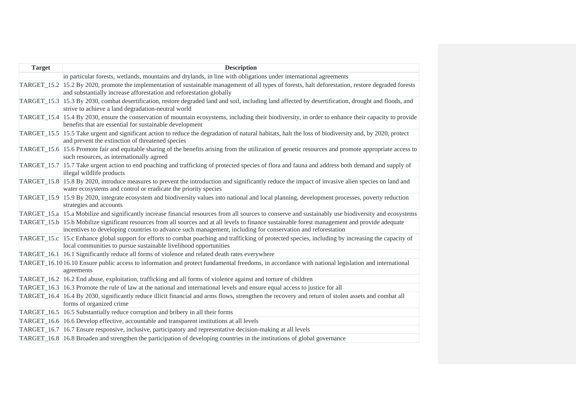| <b>Target</b> | <b>Description</b>                                                                                                                                                                                                                                               |
|---------------|------------------------------------------------------------------------------------------------------------------------------------------------------------------------------------------------------------------------------------------------------------------|
|               | in particular forests, wetlands, mountains and drylands, in line with obligations under international agreements                                                                                                                                                 |
|               | TARGET_15.2 15.2 By 2020, promote the implementation of sustainable management of all types of forests, halt deforestation, restore degraded forests<br>and substantially increase afforestation and reforestation globally                                      |
|               | TARGET_15.3 15.3 By 2030, combat desertification, restore degraded land and soil, including land affected by desertification, drought and floods, and<br>strive to achieve a land degradation-neutral world                                                      |
|               | TARGET_15.4 15.4 By 2030, ensure the conservation of mountain ecosystems, including their biodiversity, in order to enhance their capacity to provide<br>benefits that are essential for sustainable development                                                 |
|               | TARGET_15.5 15.5 Take urgent and significant action to reduce the degradation of natural habitats, halt the loss of biodiversity and, by 2020, protect<br>and prevent the extinction of threatened species                                                       |
|               | TARGET_15.6  15.6 Promote fair and equitable sharing of the benefits arising from the utilization of genetic resources and promote appropriate access to<br>such resources, as internationally agreed                                                            |
|               | TARGET_15.7 15.7 Take urgent action to end poaching and trafficking of protected species of flora and fauna and address both demand and supply of<br>illegal wildlife products                                                                                   |
|               | TARGET_15.8 15.8 By 2020, introduce measures to prevent the introduction and significantly reduce the impact of invasive alien species on land and<br>water ecosystems and control or eradicate the priority species                                             |
|               | TARGET_15.9 15.9 By 2020, integrate ecosystem and biodiversity values into national and local planning, development processes, poverty reduction<br>strategies and accounts                                                                                      |
|               | TARGET_15.a 15.a Mobilize and significantly increase financial resources from all sources to conserve and sustainably use biodiversity and ecosystems                                                                                                            |
|               | TARGET_15.b  15.b Mobilize significant resources from all sources and at all levels to finance sustainable forest management and provide adequate<br>incentives to developing countries to advance such management, including for conservation and reforestation |
|               | TARGET_15.c l15.c Enhance global support for efforts to combat poaching and trafficking of protected species, including by increasing the capacity of<br>local communities to pursue sustainable livelihood opportunities                                        |
|               | TARGET_16.1 16.1 Significantly reduce all forms of violence and related death rates everywhere                                                                                                                                                                   |
|               | TARGET_16.10 16.10 Ensure public access to information and protect fundamental freedoms, in accordance with national legislation and international<br>agreements                                                                                                 |
|               | TARGET_16.2 16.2 End abuse, exploitation, trafficking and all forms of violence against and torture of children                                                                                                                                                  |
|               | TARGET <sub>16.3</sub> 16.3 Promote the rule of law at the national and international levels and ensure equal access to justice for all                                                                                                                          |
|               | TARGET_16.4  16.4 By 2030, significantly reduce illicit financial and arms flows, strengthen the recovery and return of stolen assets and combat all<br>forms of organized crime                                                                                 |
|               | TARGET_16.5 16.5 Substantially reduce corruption and bribery in all their forms                                                                                                                                                                                  |
|               | TARGET_16.6 16.6 Develop effective, accountable and transparent institutions at all levels                                                                                                                                                                       |
|               | TARGET_16.7   16.7 Ensure responsive, inclusive, participatory and representative decision-making at all levels                                                                                                                                                  |
|               | TARGET_16.8  16.8 Broaden and strengthen the participation of developing countries in the institutions of global governance                                                                                                                                      |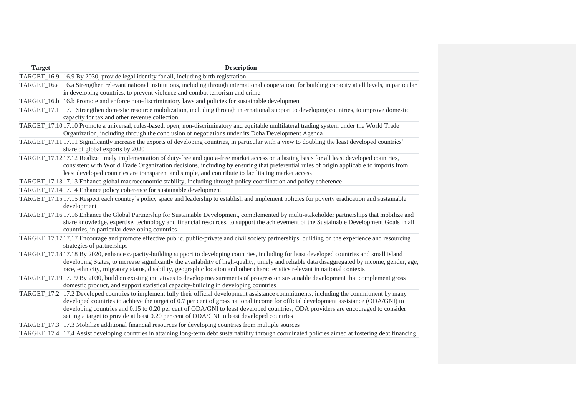| <b>Target</b> | <b>Description</b>                                                                                                                                                                                                                                                                                                                                                                                                                                                                                                   |
|---------------|----------------------------------------------------------------------------------------------------------------------------------------------------------------------------------------------------------------------------------------------------------------------------------------------------------------------------------------------------------------------------------------------------------------------------------------------------------------------------------------------------------------------|
|               | TARGET_16.9 16.9 By 2030, provide legal identity for all, including birth registration                                                                                                                                                                                                                                                                                                                                                                                                                               |
|               | TARGET_16.a 16.a Strengthen relevant national institutions, including through international cooperation, for building capacity at all levels, in particular<br>in developing countries, to prevent violence and combat terrorism and crime                                                                                                                                                                                                                                                                           |
|               | TARGET_16.b 16.b Promote and enforce non-discriminatory laws and policies for sustainable development                                                                                                                                                                                                                                                                                                                                                                                                                |
|               | TARGET_17.1 17.1 Strengthen domestic resource mobilization, including through international support to developing countries, to improve domestic<br>capacity for tax and other revenue collection                                                                                                                                                                                                                                                                                                                    |
|               | TARGET_17.10 17.10 Promote a universal, rules-based, open, non-discriminatory and equitable multilateral trading system under the World Trade<br>Organization, including through the conclusion of negotiations under its Doha Development Agenda                                                                                                                                                                                                                                                                    |
|               | TARGET_17.11 17.11 Significantly increase the exports of developing countries, in particular with a view to doubling the least developed countries'<br>share of global exports by 2020                                                                                                                                                                                                                                                                                                                               |
|               | TARGET_17.12 17.12 Realize timely implementation of duty-free and quota-free market access on a lasting basis for all least developed countries,<br>consistent with World Trade Organization decisions, including by ensuring that preferential rules of origin applicable to imports from<br>least developed countries are transparent and simple, and contribute to facilitating market access                                                                                                                     |
|               | TARGET_17.13 17.13 Enhance global macroeconomic stability, including through policy coordination and policy coherence                                                                                                                                                                                                                                                                                                                                                                                                |
|               | TARGET_17.14 17.14 Enhance policy coherence for sustainable development                                                                                                                                                                                                                                                                                                                                                                                                                                              |
|               | TARGET_17.15 17.15 Respect each country's policy space and leadership to establish and implement policies for poverty eradication and sustainable<br>development                                                                                                                                                                                                                                                                                                                                                     |
|               | TARGET_17.16 17.16 Enhance the Global Partnership for Sustainable Development, complemented by multi-stakeholder partnerships that mobilize and<br>share knowledge, expertise, technology and financial resources, to support the achievement of the Sustainable Development Goals in all<br>countries, in particular developing countries                                                                                                                                                                           |
|               | TARGET_17.17 17.17 Encourage and promote effective public, public-private and civil society partnerships, building on the experience and resourcing<br>strategies of partnerships                                                                                                                                                                                                                                                                                                                                    |
|               | TARGET_17.18 17.18 By 2020, enhance capacity-building support to developing countries, including for least developed countries and small island<br>developing States, to increase significantly the availability of high-quality, timely and reliable data disaggregated by income, gender, age,<br>race, ethnicity, migratory status, disability, geographic location and other characteristics relevant in national contexts                                                                                       |
|               | TARGET_17.1917.19 By 2030, build on existing initiatives to develop measurements of progress on sustainable development that complement gross<br>domestic product, and support statistical capacity-building in developing countries                                                                                                                                                                                                                                                                                 |
|               | TARGET_17.2 17.2 Developed countries to implement fully their official development assistance commitments, including the commitment by many<br>developed countries to achieve the target of 0.7 per cent of gross national income for official development assistance (ODA/GNI) to<br>developing countries and 0.15 to 0.20 per cent of ODA/GNI to least developed countries; ODA providers are encouraged to consider<br>setting a target to provide at least 0.20 per cent of ODA/GNI to least developed countries |
|               | TARGET_17.3 17.3 Mobilize additional financial resources for developing countries from multiple sources                                                                                                                                                                                                                                                                                                                                                                                                              |
|               | TARGET_17.4 17.4 Assist developing countries in attaining long-term debt sustainability through coordinated policies aimed at fostering debt financing,                                                                                                                                                                                                                                                                                                                                                              |